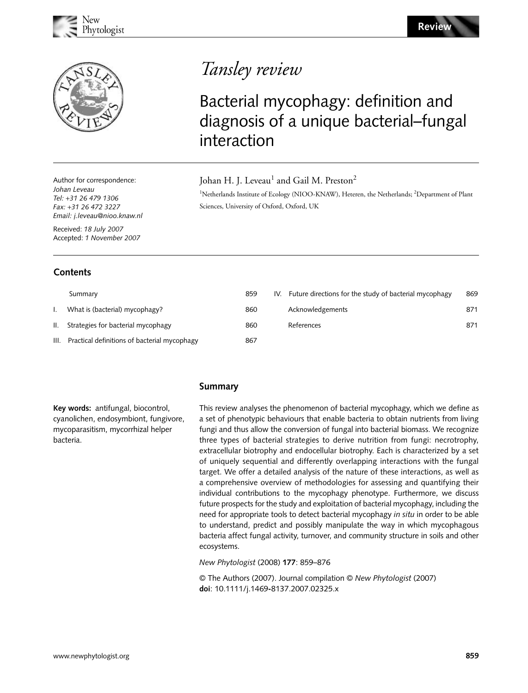



Author for correspondence: *Johan Leveau Tel:* +*31 26 479 1306 Fax:* +*31 26 472 3227 Email: j.leveau@nioo.knaw.nl*

Received: *18 July 2007* Accepted: *1 November 2007*

## **Contents**

# Tansley review

# Bacterial mycophagy: definition and diagnosis of a unique bacterial–fungal interaction

## Johan H. J. Leveau $^{\rm l}$  and Gail M. Preston $^{\rm 2}$

<sup>1</sup>Netherlands Institute of Ecology (NIOO-KNAW), Heteren, the Netherlands; <sup>2</sup>Department of Plant Sciences, University of Oxford, Oxford, UK

| Summary                                           | 859 | IV. Future directions for the study of bacterial mycophagy | 869 |
|---------------------------------------------------|-----|------------------------------------------------------------|-----|
| What is (bacterial) mycophagy?                    | 860 | Acknowledgements                                           | 871 |
| II. Strategies for bacterial mycophagy            | 860 | References                                                 | 871 |
| III. Practical definitions of bacterial mycophagy | 867 |                                                            |     |

## **Summary**

**Key words:** antifungal, biocontrol, cyanolichen, endosymbiont, fungivore, mycoparasitism, mycorrhizal helper bacteria.

This review analyses the phenomenon of bacterial mycophagy, which we define as a set of phenotypic behaviours that enable bacteria to obtain nutrients from living fungi and thus allow the conversion of fungal into bacterial biomass. We recognize three types of bacterial strategies to derive nutrition from fungi: necrotrophy, extracellular biotrophy and endocellular biotrophy. Each is characterized by a set of uniquely sequential and differently overlapping interactions with the fungal target. We offer a detailed analysis of the nature of these interactions, as well as a comprehensive overview of methodologies for assessing and quantifying their individual contributions to the mycophagy phenotype. Furthermore, we discuss future prospects for the study and exploitation of bacterial mycophagy, including the need for appropriate tools to detect bacterial mycophagy *in situ* in order to be able to understand, predict and possibly manipulate the way in which mycophagous bacteria affect fungal activity, turnover, and community structure in soils and other ecosystems.

*New Phytologist* (2008) **177**: 859–876

© The Authors (2007). Journal compilation © *New Phytologist* (2007) **doi**: 10.1111/j.1469**-**8137.2007.02325.x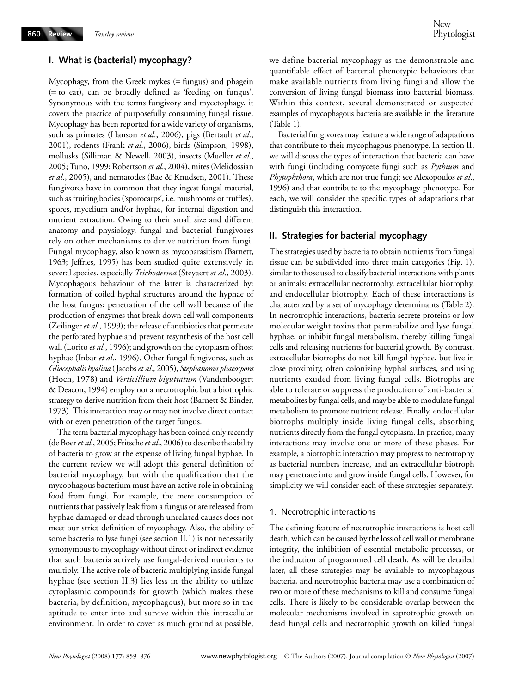## **I. What is (bacterial) mycophagy?**

Mycophagy, from the Greek mykes (= fungus) and phagein (= to eat), can be broadly defined as 'feeding on fungus'. Synonymous with the terms fungivory and mycetophagy, it covers the practice of purposefully consuming fungal tissue. Mycophagy has been reported for a wide variety of organisms, such as primates (Hanson *et al*., 2006), pigs (Bertault *et al*., 2001), rodents (Frank *et al*., 2006), birds (Simpson, 1998), mollusks (Silliman & Newell, 2003), insects (Mueller *et al*., 2005; Tuno, 1999; Robertson *et al*., 2004), mites (Melidossian *et al*., 2005), and nematodes (Bae & Knudsen, 2001). These fungivores have in common that they ingest fungal material, such as fruiting bodies ('sporocarps', i.e. mushrooms or truffles), spores, mycelium and/or hyphae, for internal digestion and nutrient extraction. Owing to their small size and different anatomy and physiology, fungal and bacterial fungivores rely on other mechanisms to derive nutrition from fungi. Fungal mycophagy, also known as mycoparasitism (Barnett, 1963; Jeffries, 1995) has been studied quite extensively in several species, especially *Trichoderma* (Steyaert *et al*., 2003). Mycophagous behaviour of the latter is characterized by: formation of coiled hyphal structures around the hyphae of the host fungus; penetration of the cell wall because of the production of enzymes that break down cell wall components (Zeilinger *et al*., 1999); the release of antibiotics that permeate the perforated hyphae and prevent resynthesis of the host cell wall (Lorito *et al*., 1996); and growth on the cytoplasm of host hyphae (Inbar *et al*., 1996). Other fungal fungivores, such as *Gliocephalis hyalina* (Jacobs *et al*., 2005), *Stephanoma phaeospora* (Hoch, 1978) and *Verticillium biguttatum* (Vandenboogert & Deacon, 1994) employ not a necrotrophic but a biotrophic strategy to derive nutrition from their host (Barnett & Binder, 1973). This interaction may or may not involve direct contact with or even penetration of the target fungus.

The term bacterial mycophagy has been coined only recently (de Boer *et al*., 2005; Fritsche *et al*., 2006) to describe the ability of bacteria to grow at the expense of living fungal hyphae. In the current review we will adopt this general definition of bacterial mycophagy, but with the qualification that the mycophagous bacterium must have an active role in obtaining food from fungi. For example, the mere consumption of nutrients that passively leak from a fungus or are released from hyphae damaged or dead through unrelated causes does not meet our strict definition of mycophagy. Also, the ability of some bacteria to lyse fungi (see section II.1) is not necessarily synonymous to mycophagy without direct or indirect evidence that such bacteria actively use fungal-derived nutrients to multiply. The active role of bacteria multiplying inside fungal hyphae (see section II.3) lies less in the ability to utilize cytoplasmic compounds for growth (which makes these bacteria, by definition, mycophagous), but more so in the aptitude to enter into and survive within this intracellular environment. In order to cover as much ground as possible,

we define bacterial mycophagy as the demonstrable and quantifiable effect of bacterial phenotypic behaviours that make available nutrients from living fungi and allow the conversion of living fungal biomass into bacterial biomass. Within this context, several demonstrated or suspected examples of mycophagous bacteria are available in the literature (Table 1).

Bacterial fungivores may feature a wide range of adaptations that contribute to their mycophagous phenotype. In section II, we will discuss the types of interaction that bacteria can have with fungi (including oomycete fungi such as *Pythium* and *Phytophthora*, which are not true fungi; see Alexopoulos *et al*., 1996) and that contribute to the mycophagy phenotype. For each, we will consider the specific types of adaptations that distinguish this interaction.

## **II. Strategies for bacterial mycophagy**

The strategies used by bacteria to obtain nutrients from fungal tissue can be subdivided into three main categories (Fig. 1), similar to those used to classify bacterial interactions with plants or animals: extracellular necrotrophy, extracellular biotrophy, and endocellular biotrophy. Each of these interactions is characterized by a set of mycophagy determinants (Table 2). In necrotrophic interactions, bacteria secrete proteins or low molecular weight toxins that permeabilize and lyse fungal hyphae, or inhibit fungal metabolism, thereby killing fungal cells and releasing nutrients for bacterial growth. By contrast, extracellular biotrophs do not kill fungal hyphae, but live in close proximity, often colonizing hyphal surfaces, and using nutrients exuded from living fungal cells. Biotrophs are able to tolerate or suppress the production of anti-bacterial metabolites by fungal cells, and may be able to modulate fungal metabolism to promote nutrient release. Finally, endocellular biotrophs multiply inside living fungal cells, absorbing nutrients directly from the fungal cytoplasm. In practice, many interactions may involve one or more of these phases. For example, a biotrophic interaction may progress to necrotrophy as bacterial numbers increase, and an extracellular biotroph may penetrate into and grow inside fungal cells. However, for simplicity we will consider each of these strategies separately.

#### 1. Necrotrophic interactions

The defining feature of necrotrophic interactions is host cell death, which can be caused by the loss of cell wall or membrane integrity, the inhibition of essential metabolic processes, or the induction of programmed cell death. As will be detailed later, all these strategies may be available to mycophagous bacteria, and necrotrophic bacteria may use a combination of two or more of these mechanisms to kill and consume fungal cells. There is likely to be considerable overlap between the molecular mechanisms involved in saprotrophic growth on dead fungal cells and necrotrophic growth on killed fungal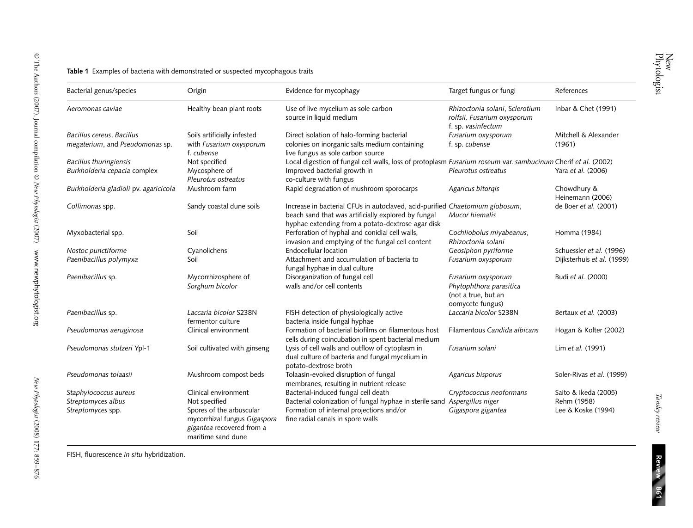| Table 1 Examples of bacteria with demonstrated or suspected mycophagous traits |  |
|--------------------------------------------------------------------------------|--|
|--------------------------------------------------------------------------------|--|

| Bacterial genus/species               | Origin                                                                                                      | Evidence for mycophagy                                                                                                                                                                   | Target fungus or fungi                                                                   | References                      |
|---------------------------------------|-------------------------------------------------------------------------------------------------------------|------------------------------------------------------------------------------------------------------------------------------------------------------------------------------------------|------------------------------------------------------------------------------------------|---------------------------------|
| Aeromonas caviae                      | Healthy bean plant roots                                                                                    | Use of live mycelium as sole carbon<br>source in liquid medium                                                                                                                           | Rhizoctonia solani, Sclerotium<br>rolfsii, Fusarium oxysporum<br>f. sp. vasinfectum      | Inbar & Chet (1991)             |
| Bacillus cereus, Bacillus             | Soils artificially infested                                                                                 | Direct isolation of halo-forming bacterial                                                                                                                                               | Fusarium oxysporum                                                                       | Mitchell & Alexander            |
| megaterium, and Pseudomonas sp.       | with Fusarium oxysporum<br>f. cubense                                                                       | colonies on inorganic salts medium containing<br>live fungus as sole carbon source                                                                                                       | f. sp. cubense                                                                           | (1961)                          |
| Bacillus thuringiensis                | Not specified                                                                                               | Local digestion of fungal cell walls, loss of protoplasm Fusarium roseum var. sambucinum Cherif et al. (2002)                                                                            |                                                                                          |                                 |
| Burkholderia cepacia complex          | Mycosphere of<br>Pleurotus ostreatus                                                                        | Improved bacterial growth in<br>co-culture with fungus                                                                                                                                   | Pleurotus ostreatus                                                                      | Yara et al. (2006)              |
| Burkholderia gladioli pv. agaricicola | Mushroom farm                                                                                               | Rapid degradation of mushroom sporocarps                                                                                                                                                 | Agaricus bitorgis                                                                        | Chowdhury &<br>Heinemann (2006) |
| Collimonas spp.                       | Sandy coastal dune soils                                                                                    | Increase in bacterial CFUs in autoclaved, acid-purified Chaetomium globosum,<br>beach sand that was artificially explored by fungal<br>hyphae extending from a potato-dextrose agar disk | Mucor hiemalis                                                                           | de Boer et al. (2001)           |
| Myxobacterial spp.                    | Soil                                                                                                        | Perforation of hyphal and conidial cell walls,<br>invasion and emptying of the fungal cell content                                                                                       | Cochliobolus miyabeanus,<br>Rhizoctonia solani                                           | Homma (1984)                    |
| Nostoc punctiforme                    | Cyanolichens                                                                                                | Endocellular location                                                                                                                                                                    | Geosiphon pyriforme                                                                      | Schuessler et al. (1996)        |
| Paenibacillus polymyxa                | Soil                                                                                                        | Attachment and accumulation of bacteria to<br>fungal hyphae in dual culture                                                                                                              | Fusarium oxysporum                                                                       | Dijksterhuis et al. (1999)      |
| Paenibacillus sp.                     | Mycorrhizosphere of<br>Sorghum bicolor                                                                      | Disorganization of fungal cell<br>walls and/or cell contents                                                                                                                             | Fusarium oxysporum<br>Phytophthora parasitica<br>(not a true, but an<br>oomycete fungus) | Budi et al. (2000)              |
| Paenibacillus sp.                     | Laccaria bicolor S238N<br>fermentor culture                                                                 | FISH detection of physiologically active<br>bacteria inside fungal hyphae                                                                                                                | Laccaria bicolor S238N                                                                   | Bertaux et al. (2003)           |
| Pseudomonas aeruginosa                | Clinical environment                                                                                        | Formation of bacterial biofilms on filamentous host<br>cells during coincubation in spent bacterial medium                                                                               | Filamentous Candida albicans                                                             | Hogan & Kolter (2002)           |
| Pseudomonas stutzeri Ypl-1            | Soil cultivated with ginseng                                                                                | Lysis of cell walls and outflow of cytoplasm in<br>dual culture of bacteria and fungal mycelium in<br>potato-dextrose broth                                                              | Fusarium solani                                                                          | Lim et al. (1991)               |
| Pseudomonas tolaasii                  | Mushroom compost beds                                                                                       | Tolaasin-evoked disruption of fungal<br>membranes, resulting in nutrient release                                                                                                         | Agaricus bisporus                                                                        | Soler-Rivas et al. (1999)       |
| Staphylococcus aureus                 | Clinical environment                                                                                        | Bacterial-induced fungal cell death                                                                                                                                                      | Cryptococcus neoformans                                                                  | Saito & Ikeda (2005)            |
| Streptomyces albus                    | Not specified                                                                                               | Bacterial colonization of fungal hyphae in sterile sand Aspergillus niger                                                                                                                |                                                                                          | Rehm (1958)                     |
| Streptomyces spp.                     | Spores of the arbuscular<br>mycorrhizal fungus Gigaspora<br>gigantea recovered from a<br>maritime sand dune | Formation of internal projections and/or<br>fine radial canals in spore walls                                                                                                            | Gigaspora gigantea                                                                       | Lee & Koske (1994)              |

FISH, fluorescence *in situ* hybridization.

*New Phytologist* (2008) **177**: 859–876

New Phytologist (2008) 177: 859-876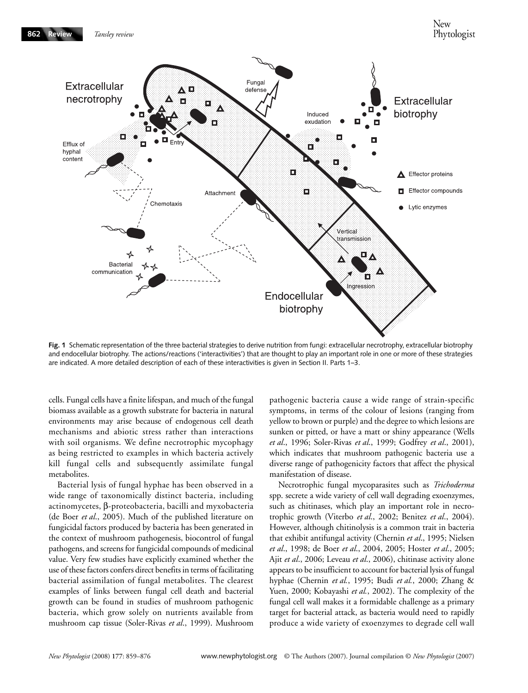**862 Review**



**Fig. 1** Schematic representation of the three bacterial strategies to derive nutrition from fungi: extracellular necrotrophy, extracellular biotrophy and endocellular biotrophy. The actions/reactions ('interactivities') that are thought to play an important role in one or more of these strategies are indicated. A more detailed description of each of these interactivities is given in Section II. Parts 1–3.

cells. Fungal cells have a finite lifespan, and much of the fungal biomass available as a growth substrate for bacteria in natural environments may arise because of endogenous cell death mechanisms and abiotic stress rather than interactions with soil organisms. We define necrotrophic mycophagy as being restricted to examples in which bacteria actively kill fungal cells and subsequently assimilate fungal metabolites.

Bacterial lysis of fungal hyphae has been observed in a wide range of taxonomically distinct bacteria, including actinomycetes, β-proteobacteria, bacilli and myxobacteria (de Boer *et al*., 2005). Much of the published literature on fungicidal factors produced by bacteria has been generated in the context of mushroom pathogenesis, biocontrol of fungal pathogens, and screens for fungicidal compounds of medicinal value. Very few studies have explicitly examined whether the use of these factors confers direct benefits in terms of facilitating bacterial assimilation of fungal metabolites. The clearest examples of links between fungal cell death and bacterial growth can be found in studies of mushroom pathogenic bacteria, which grow solely on nutrients available from mushroom cap tissue (Soler-Rivas *et al*., 1999). Mushroom

pathogenic bacteria cause a wide range of strain-specific symptoms, in terms of the colour of lesions (ranging from yellow to brown or purple) and the degree to which lesions are sunken or pitted, or have a matt or shiny appearance (Wells *et al*., 1996; Soler-Rivas *et al*., 1999; Godfrey *et al*., 2001), which indicates that mushroom pathogenic bacteria use a diverse range of pathogenicity factors that affect the physical manifestation of disease.

Necrotrophic fungal mycoparasites such as *Trichoderma* spp. secrete a wide variety of cell wall degrading exoenzymes, such as chitinases, which play an important role in necrotrophic growth (Viterbo *et al*., 2002; Benitez *et al*., 2004). However, although chitinolysis is a common trait in bacteria that exhibit antifungal activity (Chernin *et al*., 1995; Nielsen *et al*., 1998; de Boer *et al*., 2004, 2005; Hoster *et al*., 2005; Ajit *et al*., 2006; Leveau *et al*., 2006), chitinase activity alone appears to be insufficient to account for bacterial lysis of fungal hyphae (Chernin *et al.*, 1995; Budi *et al.*, 2000; Zhang & Yuen, 2000; Kobayashi *et al.*, 2002). The complexity of the fungal cell wall makes it a formidable challenge as a primary target for bacterial attack, as bacteria would need to rapidly produce a wide variety of exoenzymes to degrade cell wall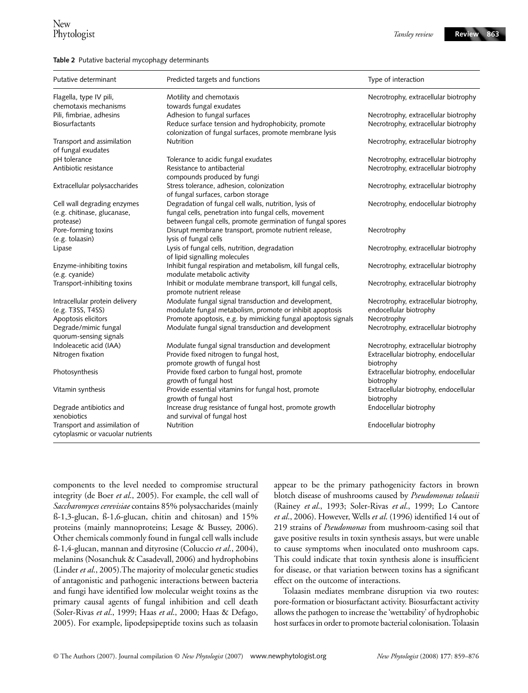*Tansley review*

**Table 2** Putative bacterial mycophagy determinants

| Putative determinant                              | Predicted targets and functions                                                                               | Type of interaction                   |  |
|---------------------------------------------------|---------------------------------------------------------------------------------------------------------------|---------------------------------------|--|
| Flagella, type IV pili,                           | Motility and chemotaxis                                                                                       | Necrotrophy, extracellular biotrophy  |  |
| chemotaxis mechanisms                             | towards fungal exudates                                                                                       |                                       |  |
| Pili, fimbriae, adhesins<br><b>Biosurfactants</b> | Adhesion to fungal surfaces                                                                                   | Necrotrophy, extracellular biotrophy  |  |
|                                                   | Reduce surface tension and hydrophobicity, promote<br>colonization of fungal surfaces, promote membrane lysis | Necrotrophy, extracellular biotrophy  |  |
| Transport and assimilation<br>of fungal exudates  | Nutrition                                                                                                     | Necrotrophy, extracellular biotrophy  |  |
| pH tolerance                                      | Tolerance to acidic fungal exudates                                                                           | Necrotrophy, extracellular biotrophy  |  |
| Antibiotic resistance                             | Resistance to antibacterial<br>compounds produced by fungi                                                    | Necrotrophy, extracellular biotrophy  |  |
| Extracellular polysaccharides                     | Stress tolerance, adhesion, colonization                                                                      | Necrotrophy, extracellular biotrophy  |  |
|                                                   | of fungal surfaces, carbon storage                                                                            |                                       |  |
| Cell wall degrading enzymes                       | Degradation of fungal cell walls, nutrition, lysis of                                                         | Necrotrophy, endocellular biotrophy   |  |
| (e.g. chitinase, glucanase,                       | fungal cells, penetration into fungal cells, movement                                                         |                                       |  |
| protease)                                         | between fungal cells, promote germination of fungal spores                                                    |                                       |  |
| Pore-forming toxins                               | Disrupt membrane transport, promote nutrient release,                                                         | Necrotrophy                           |  |
| (e.g. tolaasin)                                   | lysis of fungal cells                                                                                         |                                       |  |
| Lipase                                            | Lysis of fungal cells, nutrition, degradation<br>of lipid signalling molecules                                | Necrotrophy, extracellular biotrophy  |  |
| Enzyme-inhibiting toxins                          | Inhibit fungal respiration and metabolism, kill fungal cells,                                                 | Necrotrophy, extracellular biotrophy  |  |
| (e.g. cyanide)                                    | modulate metabolic activity                                                                                   |                                       |  |
| Transport-inhibiting toxins                       | Inhibit or modulate membrane transport, kill fungal cells,<br>promote nutrient release                        | Necrotrophy, extracellular biotrophy  |  |
| Intracellular protein delivery                    | Modulate fungal signal transduction and development,                                                          | Necrotrophy, extracellular biotrophy, |  |
| (e.g. T3SS, T4SS)                                 | modulate fungal metabolism, promote or inhibit apoptosis                                                      | endocellular biotrophy                |  |
| Apoptosis elicitors                               | Promote apoptosis, e.g. by mimicking fungal apoptosis signals                                                 | Necrotrophy                           |  |
| Degrade/mimic fungal<br>quorum-sensing signals    | Modulate fungal signal transduction and development                                                           | Necrotrophy, extracellular biotrophy  |  |
| Indoleacetic acid (IAA)                           | Modulate fungal signal transduction and development                                                           | Necrotrophy, extracellular biotrophy  |  |
| Nitrogen fixation                                 | Provide fixed nitrogen to fungal host,                                                                        | Extracellular biotrophy, endocellular |  |
|                                                   | promote growth of fungal host                                                                                 | biotrophy                             |  |
| Photosynthesis                                    | Provide fixed carbon to fungal host, promote                                                                  | Extracellular biotrophy, endocellular |  |
|                                                   | growth of fungal host                                                                                         | biotrophy                             |  |
| Vitamin synthesis                                 | Provide essential vitamins for fungal host, promote                                                           | Extracellular biotrophy, endocellular |  |
|                                                   | growth of fungal host                                                                                         | biotrophy                             |  |
| Degrade antibiotics and                           | Increase drug resistance of fungal host, promote growth                                                       | Endocellular biotrophy                |  |
| xenobiotics                                       | and survival of fungal host                                                                                   |                                       |  |
| Transport and assimilation of                     | Nutrition                                                                                                     | Endocellular biotrophy                |  |
| cytoplasmic or vacuolar nutrients                 |                                                                                                               |                                       |  |
|                                                   |                                                                                                               |                                       |  |

components to the level needed to compromise structural integrity (de Boer *et al*., 2005). For example, the cell wall of *Saccharomyces cerevisiae* contains 85% polysaccharides (mainly ß-1,3-glucan, ß-1,6-glucan, chitin and chitosan) and 15% proteins (mainly mannoproteins; Lesage & Bussey, 2006). Other chemicals commonly found in fungal cell walls include ß-1,4-glucan, mannan and dityrosine (Coluccio *et al*., 2004), melanins (Nosanchuk & Casadevall, 2006) and hydrophobins (Linder *et al*., 2005).The majority of molecular genetic studies of antagonistic and pathogenic interactions between bacteria and fungi have identified low molecular weight toxins as the primary causal agents of fungal inhibition and cell death (Soler-Rivas *et al*., 1999; Haas *et al*., 2000; Haas & Defago, 2005). For example, lipodepsipeptide toxins such as tolaasin

appear to be the primary pathogenicity factors in brown blotch disease of mushrooms caused by *Pseudomonas tolaasii* (Rainey *et al*., 1993; Soler-Rivas *et al*., 1999; Lo Cantore *et al*., 2006). However, Wells *et al*. (1996) identified 14 out of 219 strains of *Pseudomonas* from mushroom-casing soil that gave positive results in toxin synthesis assays, but were unable to cause symptoms when inoculated onto mushroom caps. This could indicate that toxin synthesis alone is insufficient for disease, or that variation between toxins has a significant effect on the outcome of interactions.

Tolaasin mediates membrane disruption via two routes: pore-formation or biosurfactant activity. Biosurfactant activity allows the pathogen to increase the 'wettability' of hydrophobic host surfaces in order to promote bacterial colonisation. Tolaasin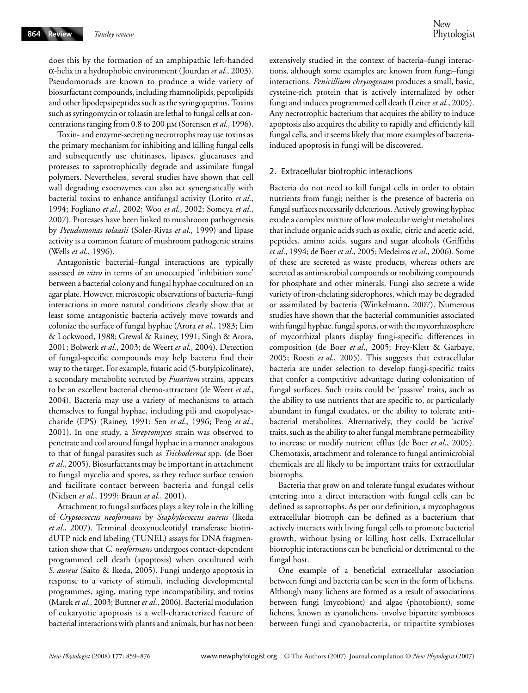does this by the formation of an amphipathic left-handed α-helix in a hydrophobic environment (Jourdan *et al*., 2003). Pseudomonads are known to produce a wide variety of biosurfactant compounds, including rhamnolipids, peptolipids and other lipodepsipeptides such as the syringopeptins. Toxins such as syringomycin or tolaasin are lethal to fungal cells at concentrations ranging from 0.8 to 200 µm (Sorensen *et al*., 1996).

Toxin- and enzyme-secreting necrotrophs may use toxins as the primary mechanism for inhibiting and killing fungal cells and subsequently use chitinases, lipases, glucanases and proteases to saprotrophically degrade and assimilate fungal polymers. Nevertheless, several studies have shown that cell wall degrading exoenzymes can also act synergistically with bacterial toxins to enhance antifungal activity (Lorito *et al*., 1994; Fogliano *et al*., 2002; Woo *et al*., 2002; Someya *et al*., 2007). Proteases have been linked to mushroom pathogenesis by *Pseudomonas tolaasii* (Soler-Rivas *et al*., 1999) and lipase activity is a common feature of mushroom pathogenic strains (Wells *et al.*, 1996).

Antagonistic bacterial–fungal interactions are typically assessed *in vitro* in terms of an unoccupied 'inhibition zone' between a bacterial colony and fungal hyphae cocultured on an agar plate. However, microscopic observations of bacteria–fungi interactions in more natural conditions clearly show that at least some antagonistic bacteria actively move towards and colonize the surface of fungal hyphae (Arora *et al*., 1983; Lim & Lockwood, 1988; Grewal & Rainey, 1991; Singh & Arora, 2001; Bolwerk *et al*., 2003; de Weert *et al*., 2004). Detection of fungal-specific compounds may help bacteria find their way to the target. For example, fusaric acid (5-butylpicolinate), a secondary metabolite secreted by *Fusarium* strains, appears to be an excellent bacterial chemo-attractant (de Weert *et al*., 2004). Bacteria may use a variety of mechanisms to attach themselves to fungal hyphae, including pili and exopolysaccharide (EPS) (Rainey, 1991; Sen *et al*., 1996; Peng *et al*., 2001). In one study, a *Streptomyces* strain was observed to penetrate and coil around fungal hyphae in a manner analogous to that of fungal parasites such as *Trichoderma* spp. (de Boer *et al*., 2005). Biosurfactants may be important in attachment to fungal mycelia and spores, as they reduce surface tension and facilitate contact between bacteria and fungal cells (Nielsen *et al*., 1999; Braun *et al*., 2001).

Attachment to fungal surfaces plays a key role in the killing of *Cryptococcus neoformans* by *Staphylococcus aureus* (Ikeda *et al*., 2007). Terminal deoxynucleotidyl transferase biotindUTP nick end labeling (TUNEL) assays for DNA fragmentation show that *C. neoformans* undergoes contact-dependent programmed cell death (apoptosis) when cocultured with *S. aureus* (Saito & Ikeda, 2005). Fungi undergo apoptosis in response to a variety of stimuli, including developmental programmes, aging, mating type incompatibility, and toxins (Marek *et al*., 2003; Buttner *et al*., 2006). Bacterial modulation of eukaryotic apoptosis is a well-characterized feature of bacterial interactions with plants and animals, but has not been

extensively studied in the context of bacteria–fungi interactions, although some examples are known from fungi–fungi interactions. *Penicillium chrysogenum* produces a small, basic, cysteine-rich protein that is actively internalized by other fungi and induces programmed cell death (Leiter *et al*., 2005). Any necrotrophic bacterium that acquires the ability to induce apoptosis also acquires the ability to rapidly and efficiently kill fungal cells, and it seems likely that more examples of bacteriainduced apoptosis in fungi will be discovered.

#### 2. Extracellular biotrophic interactions

Bacteria do not need to kill fungal cells in order to obtain nutrients from fungi; neither is the presence of bacteria on fungal surfaces necessarily deleterious. Actively growing hyphae exude a complex mixture of low molecular weight metabolites that include organic acids such as oxalic, citric and acetic acid, peptides, amino acids, sugars and sugar alcohols (Griffiths *et al*., 1994; de Boer *et al*., 2005; Medeiros *et al*., 2006). Some of these are secreted as waste products, whereas others are secreted as antimicrobial compounds or mobilizing compounds for phosphate and other minerals. Fungi also secrete a wide variety of iron-chelating siderophores, which may be degraded or assimilated by bacteria (Winkelmann, 2007). Numerous studies have shown that the bacterial communities associated with fungal hyphae, fungal spores, or with the mycorrhizosphere of mycorrhizal plants display fungi-specific differences in composition (de Boer *et al*., 2005; Frey-Klett & Garbaye, 2005; Roesti *et al*., 2005). This suggests that extracellular bacteria are under selection to develop fungi-specific traits that confer a competitive advantage during colonization of fungal surfaces. Such traits could be 'passive' traits, such as the ability to use nutrients that are specific to, or particularly abundant in fungal exudates, or the ability to tolerate antibacterial metabolites. Alternatively, they could be 'active' traits, such as the ability to alter fungal membrane permeability to increase or modify nutrient efflux (de Boer *et al*., 2005). Chemotaxis, attachment and tolerance to fungal antimicrobial chemicals are all likely to be important traits for extracellular biotrophs.

Bacteria that grow on and tolerate fungal exudates without entering into a direct interaction with fungal cells can be defined as saprotrophs. As per our definition, a mycophagous extracellular biotroph can be defined as a bacterium that actively interacts with living fungal cells to promote bacterial growth, without lysing or killing host cells. Extracellular biotrophic interactions can be beneficial or detrimental to the fungal host.

One example of a beneficial extracellular association between fungi and bacteria can be seen in the form of lichens. Although many lichens are formed as a result of associations between fungi (mycobiont) and algae (photobiont), some lichens, known as cyanolichens, involve bipartite symbioses between fungi and cyanobacteria, or tripartite symbioses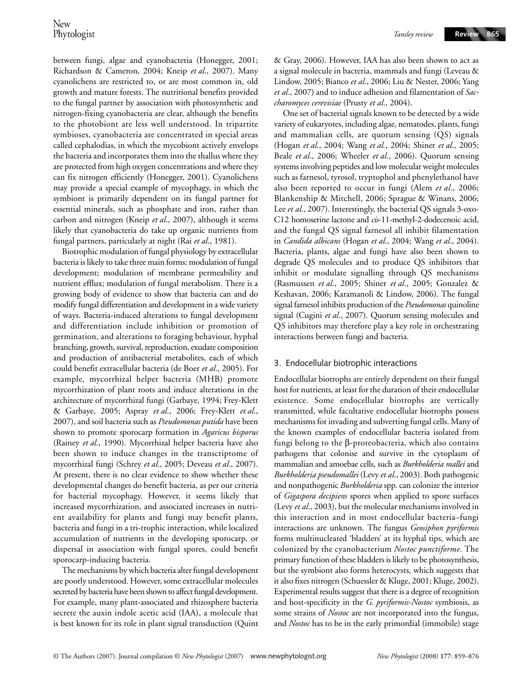between fungi, algae and cyanobacteria (Honegger, 2001; Richardson & Cameron, 2004; Kneip *et al*., 2007). Many cyanolichens are restricted to, or are most common in, old growth and mature forests. The nutritional benefits provided to the fungal partner by association with photosynthetic and nitrogen-fixing cyanobacteria are clear, although the benefits to the photobiont are less well understood. In tripartite symbioses, cyanobacteria are concentrated in special areas called cephalodias, in which the mycobiont actively envelops the bacteria and incorporates them into the thallus where they are protected from high oxygen concentrations and where they can fix nitrogen efficiently (Honegger, 2001). Cyanolichens may provide a special example of mycophagy, in which the symbiont is primarily dependent on its fungal partner for essential minerals, such as phosphate and iron, rather than carbon and nitrogen (Kneip *et al*., 2007), although it seems likely that cyanobacteria do take up organic nutrients from fungal partners, particularly at night (Rai *et al*., 1981).

Biotrophic modulation of fungal physiology by extracellular bacteria is likely to take three main forms: modulation of fungal development; modulation of membrane permeability and nutrient efflux; modulation of fungal metabolism. There is a growing body of evidence to show that bacteria can and do modify fungal differentiation and development in a wide variety of ways. Bacteria-induced alterations to fungal development and differentiation include inhibition or promotion of germination, and alterations to foraging behaviour, hyphal branching, growth, survival, reproduction, exudate composition and production of antibacterial metabolites, each of which could benefit extracellular bacteria (de Boer *et al*., 2005). For example, mycorrhizal helper bacteria (MHB) promote mycorrhization of plant roots and induce alterations in the architecture of mycorrhizal fungi (Garbaye, 1994; Frey-Klett & Garbaye, 2005; Aspray *et al*., 2006; Frey-Klett *et al*., 2007), and soil bacteria such as *Pseudomonas putida* have been shown to promote sporocarp formation in *Agaricus bisporus* (Rainey *et al*., 1990). Mycorrhizal helper bacteria have also been shown to induce changes in the transcriptome of mycorrhizal fungi (Schrey *et al*., 2005; Deveau *et al*., 2007). At present, there is no clear evidence to show whether these developmental changes do benefit bacteria, as per our criteria for bacterial mycophagy. However, it seems likely that increased mycorrhization, and associated increases in nutrient availability for plants and fungi may benefit plants, bacteria and fungi in a tri-trophic interaction, while localized accumulation of nutrients in the developing sporocarp, or dispersal in association with fungal spores, could benefit sporocarp-inducing bacteria.

The mechanisms by which bacteria alter fungal development are poorly understood. However, some extracellular molecules secreted by bacteria have been shown to affect fungal development. For example, many plant-associated and rhizosphere bacteria secrete the auxin indole acetic acid (IAA), a molecule that is best known for its role in plant signal transduction (Quint

& Gray, 2006). However, IAA has also been shown to act as a signal molecule in bacteria, mammals and fungi (Leveau & Lindow, 2005; Bianco *et al*., 2006; Liu & Nester, 2006; Yang *et al*., 2007) and to induce adhesion and filamentation of *Saccharomyces cerevisiae* (Prusty *et al*., 2004).

One set of bacterial signals known to be detected by a wide variety of eukaryotes, including algae, nematodes, plants, fungi and mammalian cells, are quorum sensing (QS) signals (Hogan *et al.*, 2004; Wang *et al.*, 2004; Shiner *et al*., 2005; Beale *et al*., 2006; Wheeler *et al*., 2006). Quorum sensing systems involving peptides and low molecular weight molecules such as farnesol, tyrosol, tryptophol and phenylethanol have also been reported to occur in fungi (Alem *et al*., 2006; Blankenship & Mitchell, 2006; Sprague & Winans, 2006; Lee *et al*., 2007). Interestingly, the bacterial QS signals 3-oxo-C12 homoserine lactone and *cis*-11-methyl-2-dodecenoic acid, and the fungal QS signal farnesol all inhibit filamentation in *Candida albicans* (Hogan *et al*., 2004; Wang *et al*., 2004). Bacteria, plants, algae and fungi have also been shown to degrade QS molecules and to produce QS inhibitors that inhibit or modulate signalling through QS mechanisms (Rasmussen *et al*., 2005; Shiner *et al*., 2005; Gonzalez & Keshavan, 2006; Karamanoli & Lindow, 2006). The fungal signal farnesol inhibits production of the *Pseudomonas* quinoline signal (Cugini *et al*., 2007). Quorum sensing molecules and QS inhibitors may therefore play a key role in orchestrating interactions between fungi and bacteria.

#### 3. Endocellular biotrophic interactions

Endocellular biotrophs are entirely dependent on their fungal host for nutrients, at least for the duration of their endocellular existence. Some endocellular biotrophs are vertically transmitted, while facultative endocellular biotrophs possess mechanisms for invading and subverting fungal cells. Many of the known examples of endocellular bacteria isolated from fungi belong to the β-proteobacteria, which also contains pathogens that colonise and survive in the cytoplasm of mammalian and amoebae cells, such as *Burkholderia mallei* and *Burkholderia pseudomallei* (Levy *et al*., 2003). Both pathogenic and nonpathogenic *Burkholderia* spp. can colonize the interior of *Gigaspora decipiens* spores when applied to spore surfaces (Levy *et al*., 2003), but the molecular mechanisms involved in this interaction and in most endocellular bacteria–fungi interactions are unknown. The fungus *Geosiphon pyriformis* forms multinucleated 'bladders' at its hyphal tips, which are colonized by the cyanobacterium *Nostoc punctiforme*. The primary function of these bladders is likely to be photosynthesis, but the symbiont also forms heterocysts, which suggests that it also fixes nitrogen (Schuessler & Kluge, 2001; Kluge, 2002). Experimental results suggest that there is a degree of recognition and host-specificity in the *G. pyriformis-Nostoc* symbiosis, as some strains of *Nostoc* are not incorporated into the fungus, and *Nostoc* has to be in the early primordial (immobile) stage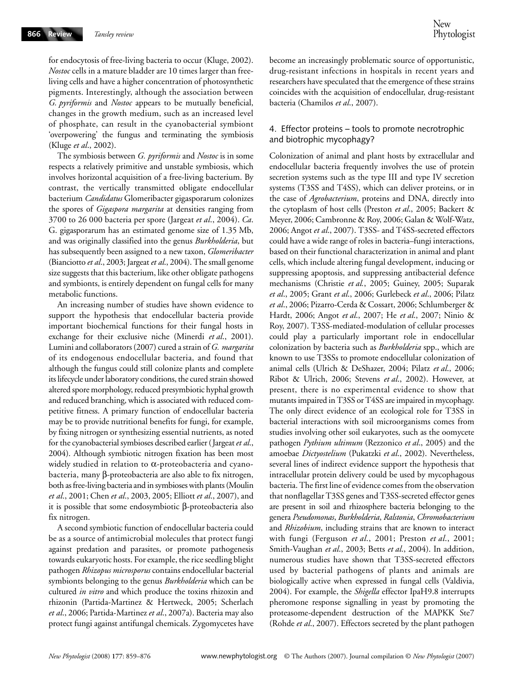for endocytosis of free-living bacteria to occur (Kluge, 2002). *Nostoc* cells in a mature bladder are 10 times larger than freeliving cells and have a higher concentration of photosynthetic pigments. Interestingly, although the association between *G. pyriformis* and *Nostoc* appears to be mutually beneficial, changes in the growth medium, such as an increased level of phosphate, can result in the cyanobacterial symbiont 'overpowering' the fungus and terminating the symbiosis (Kluge *et al*., 2002).

The symbiosis between *G. pyriformis* and *Nostoc* is in some respects a relatively primitive and unstable symbiosis, which involves horizontal acquisition of a free-living bacterium. By contrast, the vertically transmitted obligate endocellular bacterium *Candidatus* Glomeribacter gigasporarum colonizes the spores of *Gigaspora margarita* at densities ranging from 3700 to 26 000 bacteria per spore (Jargeat *et al*., 2004). *Ca*. G. gigasporarum has an estimated genome size of 1.35 Mb, and was originally classified into the genus *Burkholderia*, but has subsequently been assigned to a new taxon, *Glomeribacter* (Bianciotto *et al*., 2003; Jargeat *et al*., 2004). The small genome size suggests that this bacterium, like other obligate pathogens and symbionts, is entirely dependent on fungal cells for many metabolic functions.

An increasing number of studies have shown evidence to support the hypothesis that endocellular bacteria provide important biochemical functions for their fungal hosts in exchange for their exclusive niche (Minerdi *et al*., 2001). Lumini and collaborators (2007) cured a strain of *G. margarita* of its endogenous endocellular bacteria, and found that although the fungus could still colonize plants and complete its lifecycle under laboratory conditions, the cured strain showed altered spore morphology, reduced presymbiotic hyphal growth and reduced branching, which is associated with reduced competitive fitness. A primary function of endocellular bacteria may be to provide nutritional benefits for fungi, for example, by fixing nitrogen or synthesizing essential nutrients, as noted for the cyanobacterial symbioses described earlier (Jargeat *et al*., 2004). Although symbiotic nitrogen fixation has been most widely studied in relation to α-proteobacteria and cyanobacteria, many β-proteobacteria are also able to fix nitrogen, both as free-living bacteria and in symbioses with plants (Moulin *et al*., 2001; Chen *et al*., 2003, 2005; Elliott *et al*., 2007), and it is possible that some endosymbiotic β-proteobacteria also fix nitrogen.

A second symbiotic function of endocellular bacteria could be as a source of antimicrobial molecules that protect fungi against predation and parasites, or promote pathogenesis towards eukaryotic hosts. For example, the rice seedling blight pathogen *Rhizopus microsporus* contains endocellular bacterial symbionts belonging to the genus *Burkholderia* which can be cultured *in vitro* and which produce the toxins rhizoxin and rhizonin (Partida-Martinez & Hertweck, 2005; Scherlach *et al*., 2006; Partida-Martinez *et al*., 2007a). Bacteria may also protect fungi against antifungal chemicals. Zygomycetes have

become an increasingly problematic source of opportunistic, drug-resistant infections in hospitals in recent years and researchers have speculated that the emergence of these strains coincides with the acquisition of endocellular, drug-resistant bacteria (Chamilos *et al*., 2007).

## 4. Effector proteins – tools to promote necrotrophic and biotrophic mycophagy?

Colonization of animal and plant hosts by extracellular and endocellular bacteria frequently involves the use of protein secretion systems such as the type III and type IV secretion systems (T3SS and T4SS), which can deliver proteins, or in the case of *Agrobacterium*, proteins and DNA, directly into the cytoplasm of host cells (Preston *et al*., 2005; Backert & Meyer, 2006; Cambronne & Roy, 2006; Galan & Wolf-Watz, 2006; Angot *et al*., 2007). T3SS- and T4SS-secreted effectors could have a wide range of roles in bacteria–fungi interactions, based on their functional characterization in animal and plant cells, which include altering fungal development, inducing or suppressing apoptosis, and suppressing antibacterial defence mechanisms (Christie *et al.*, 2005; Guiney, 2005; Suparak *et al*., 2005; Grant *et al*., 2006; Gurlebeck *et al*., 2006; Pilatz *et al*., 2006; Pizarro-Cerda & Cossart, 2006; Schlumberger & Hardt, 2006; Angot *et al*., 2007; He *et al*., 2007; Ninio & Roy, 2007). T3SS-mediated-modulation of cellular processes could play a particularly important role in endocellular colonization by bacteria such as *Burkholderia* spp., which are known to use T3SSs to promote endocellular colonization of animal cells (Ulrich & DeShazer, 2004; Pilatz *et al*., 2006; Ribot & Ulrich, 2006; Stevens *et al*., 2002). However, at present, there is no experimental evidence to show that mutants impaired in T3SS or T4SS are impaired in mycophagy. The only direct evidence of an ecological role for T3SS in bacterial interactions with soil microorganisms comes from studies involving other soil eukaryotes, such as the oomycete pathogen *Pythium ultimum* (Rezzonico *et al*., 2005) and the amoebae *Dictyostelium* (Pukatzki *et al*., 2002). Nevertheless, several lines of indirect evidence support the hypothesis that intracellular protein delivery could be used by mycophagous bacteria. The first line of evidence comes from the observation that nonflagellar T3SS genes and T3SS-secreted effector genes are present in soil and rhizosphere bacteria belonging to the genera *Pseudomonas*, *Burkholderia*, *Ralstonia*, *Chromobacterium* and *Rhizobium*, including strains that are known to interact with fungi (Ferguson *et al*., 2001; Preston *et al*., 2001; Smith-Vaughan *et al*., 2003; Betts *et al*., 2004). In addition, numerous studies have shown that T3SS-secreted effectors used by bacterial pathogens of plants and animals are biologically active when expressed in fungal cells (Valdivia, 2004). For example, the *Shigella* effector IpaH9.8 interrupts pheromone response signalling in yeast by promoting the proteasome-dependent destruction of the MAPKK Ste7 (Rohde *et al*., 2007). Effectors secreted by the plant pathogen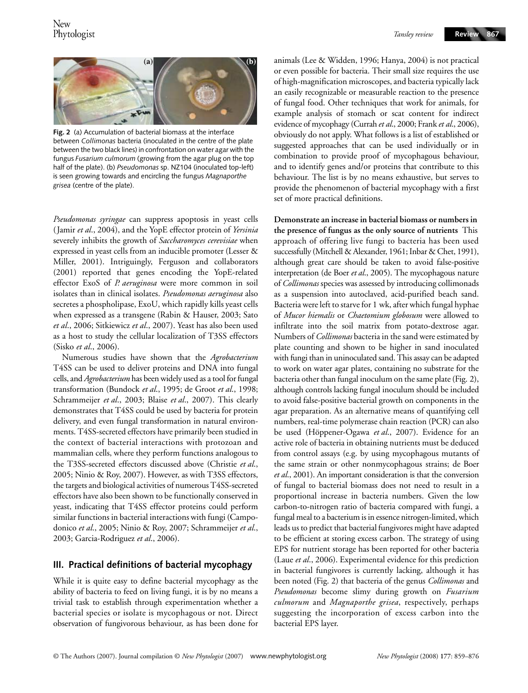

**Fig. 2** (a) Accumulation of bacterial biomass at the interface between *Collimonas* bacteria (inoculated in the centre of the plate between the two black lines) in confrontation on water agar with the fungus *Fusarium culmorum* (growing from the agar plug on the top half of the plate). (b) *Pseudomonas* sp. NZ104 (inoculated top-left) is seen growing towards and encircling the fungus *Magnaporthe grisea* (centre of the plate).

*Pseudomonas syringae* can suppress apoptosis in yeast cells (Jamir *et al*., 2004), and the YopE effector protein of *Yersinia* severely inhibits the growth of *Saccharomyces cerevisiae* when expressed in yeast cells from an inducible promoter (Lesser & Miller, 2001). Intriguingly, Ferguson and collaborators (2001) reported that genes encoding the YopE-related effector ExoS of *P. aeruginosa* were more common in soil isolates than in clinical isolates. *Pseudomonas aeruginosa* also secretes a phospholipase, ExoU, which rapidly kills yeast cells when expressed as a transgene (Rabin & Hauser, 2003; Sato *et al*., 2006; Sitkiewicz *et al*., 2007). Yeast has also been used as a host to study the cellular localization of T3SS effectors (Sisko *et al*., 2006).

Numerous studies have shown that the *Agrobacterium* T4SS can be used to deliver proteins and DNA into fungal cells, and *Agrobacterium* has been widely used as a tool for fungal transformation (Bundock *et al*., 1995; de Groot *et al*., 1998; Schrammeijer *et al*., 2003; Blaise *et al*., 2007). This clearly demonstrates that T4SS could be used by bacteria for protein delivery, and even fungal transformation in natural environments. T4SS-secreted effectors have primarily been studied in the context of bacterial interactions with protozoan and mammalian cells, where they perform functions analogous to the T3SS-secreted effectors discussed above (Christie *et al*., 2005; Ninio & Roy, 2007). However, as with T3SS effectors, the targets and biological activities of numerous T4SS-secreted effectors have also been shown to be functionally conserved in yeast, indicating that T4SS effector proteins could perform similar functions in bacterial interactions with fungi (Campodonico *et al*., 2005; Ninio & Roy, 2007; Schrammeijer *et al*., 2003; Garcia-Rodriguez *et al*., 2006).

## **III. Practical definitions of bacterial mycophagy**

While it is quite easy to define bacterial mycophagy as the ability of bacteria to feed on living fungi, it is by no means a trivial task to establish through experimentation whether a bacterial species or isolate is mycophagous or not. Direct observation of fungivorous behaviour, as has been done for animals (Lee & Widden, 1996; Hanya, 2004) is not practical or even possible for bacteria. Their small size requires the use of high-magnification microscopes, and bacteria typically lack an easily recognizable or measurable reaction to the presence of fungal food. Other techniques that work for animals, for example analysis of stomach or scat content for indirect evidence of mycophagy (Currah *et al*., 2000; Frank *et al*., 2006), obviously do not apply. What follows is a list of established or suggested approaches that can be used individually or in combination to provide proof of mycophagous behaviour, and to identify genes and/or proteins that contribute to this behaviour. The list is by no means exhaustive, but serves to provide the phenomenon of bacterial mycophagy with a first set of more practical definitions.

**Demonstrate an increase in bacterial biomass or numbers in the presence of fungus as the only source of nutrients** This approach of offering live fungi to bacteria has been used successfully (Mitchell & Alexander, 1961; Inbar & Chet, 1991), although great care should be taken to avoid false-positive interpretation (de Boer *et al*., 2005). The mycophagous nature of *Collimonas* species was assessed by introducing collimonads as a suspension into autoclaved, acid-purified beach sand. Bacteria were left to starve for 1 wk, after which fungal hyphae of *Mucor hiemalis* or *Chaetomium globosum* were allowed to infiltrate into the soil matrix from potato-dextrose agar. Numbers of *Collimonas* bacteria in the sand were estimated by plate counting and shown to be higher in sand inoculated with fungi than in uninoculated sand. This assay can be adapted to work on water agar plates, containing no substrate for the bacteria other than fungal inoculum on the same plate (Fig. 2), although controls lacking fungal inoculum should be included to avoid false-positive bacterial growth on components in the agar preparation. As an alternative means of quantifying cell numbers, real-time polymerase chain reaction (PCR) can also be used (Höppener-Ogawa *et al*., 2007). Evidence for an active role of bacteria in obtaining nutrients must be deduced from control assays (e.g. by using mycophagous mutants of the same strain or other nonmycophagous strains; de Boer *et al*., 2001). An important consideration is that the conversion of fungal to bacterial biomass does not need to result in a proportional increase in bacteria numbers. Given the low carbon-to-nitrogen ratio of bacteria compared with fungi, a fungal meal to a bacterium is in essence nitrogen-limited, which leads us to predict that bacterial fungivores might have adapted to be efficient at storing excess carbon. The strategy of using EPS for nutrient storage has been reported for other bacteria (Laue *et al*., 2006). Experimental evidence for this prediction in bacterial fungivores is currently lacking, although it has been noted (Fig. 2) that bacteria of the genus *Collimonas* and *Pseudomonas* become slimy during growth on *Fusarium culmorum* and *Magnaporthe grisea*, respectively, perhaps suggesting the incorporation of excess carbon into the bacterial EPS layer.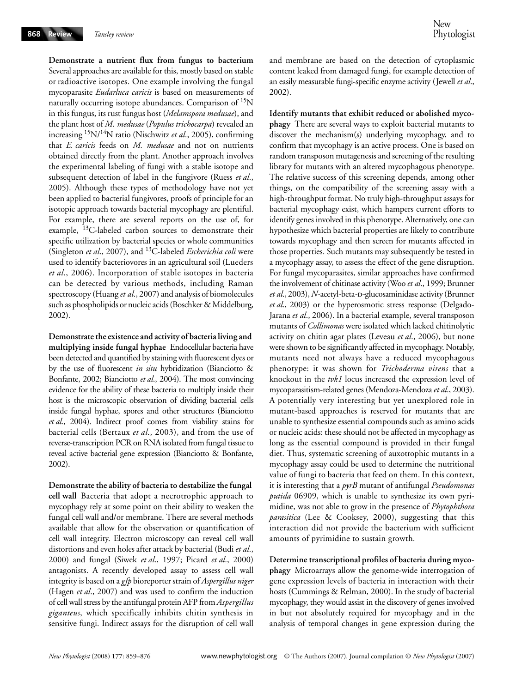**Demonstrate a nutrient flux from fungus to bacterium** Several approaches are available for this, mostly based on stable or radioactive isotopes. One example involving the fungal mycoparasite *Eudarluca caricis* is based on measurements of naturally occurring isotope abundances. Comparison of 15N in this fungus, its rust fungus host (*Melamspora medusae*), and the plant host of *M. medusae* (*Populus trichocarpa*) revealed an increasing 15N/14N ratio (Nischwitz *et al*., 2005), confirming that *E. caricis* feeds on *M. medusae* and not on nutrients obtained directly from the plant. Another approach involves the experimental labeling of fungi with a stable isotope and subsequent detection of label in the fungivore (Ruess *et al*., 2005). Although these types of methodology have not yet been applied to bacterial fungivores, proofs of principle for an isotopic approach towards bacterial mycophagy are plentiful. For example, there are several reports on the use of, for example, 13C-labeled carbon sources to demonstrate their specific utilization by bacterial species or whole communities (Singleton *et al*., 2007), and 13C-labeled *Escherichia coli* were used to identify bacteriovores in an agricultural soil (Lueders *et al*., 2006). Incorporation of stable isotopes in bacteria can be detected by various methods, including Raman spectroscopy (Huang *et al*., 2007) and analysis of biomolecules such as phospholipids or nucleic acids (Boschker & Middelburg, 2002).

**Demonstrate the existence and activity of bacteria living and multiplying inside fungal hyphae** Endocellular bacteria have been detected and quantified by staining with fluorescent dyes or by the use of fluorescent *in situ* hybridization (Bianciotto & Bonfante, 2002; Bianciotto *et al*., 2004). The most convincing evidence for the ability of these bacteria to multiply inside their host is the microscopic observation of dividing bacterial cells inside fungal hyphae, spores and other structures (Bianciotto *et al*., 2004). Indirect proof comes from viability stains for bacterial cells (Bertaux *et al*., 2003), and from the use of reverse-transcription PCR on RNA isolated from fungal tissue to reveal active bacterial gene expression (Bianciotto & Bonfante, 2002).

**Demonstrate the ability of bacteria to destabilize the fungal cell wall** Bacteria that adopt a necrotrophic approach to mycophagy rely at some point on their ability to weaken the fungal cell wall and/or membrane. There are several methods available that allow for the observation or quantification of cell wall integrity. Electron microscopy can reveal cell wall distortions and even holes after attack by bacterial (Budi *et al*., 2000) and fungal (Siwek *et al*., 1997; Picard *et al*., 2000) antagonists. A recently developed assay to assess cell wall integrity is based on a *gfp* bioreporter strain of *Aspergillus niger* (Hagen *et al*., 2007) and was used to confirm the induction of cell wall stress by the antifungal protein AFP from *Aspergillus giganteus*, which specifically inhibits chitin synthesis in sensitive fungi. Indirect assays for the disruption of cell wall and membrane are based on the detection of cytoplasmic content leaked from damaged fungi, for example detection of an easily measurable fungi-specific enzyme activity (Jewell *et al*., 2002).

**Identify mutants that exhibit reduced or abolished mycophagy** There are several ways to exploit bacterial mutants to discover the mechanism(s) underlying mycophagy, and to confirm that mycophagy is an active process. One is based on random transposon mutagenesis and screening of the resulting library for mutants with an altered mycophagous phenotype. The relative success of this screening depends, among other things, on the compatibility of the screening assay with a high-throughput format. No truly high-throughput assays for bacterial mycophagy exist, which hampers current efforts to identify genes involved in this phenotype. Alternatively, one can hypothesize which bacterial properties are likely to contribute towards mycophagy and then screen for mutants affected in those properties. Such mutants may subsequently be tested in a mycophagy assay, to assess the effect of the gene disruption. For fungal mycoparasites, similar approaches have confirmed the involvement of chitinase activity (Woo *et al*., 1999; Brunner et al., 2003), *N*-acetyl-beta-D-glucosaminidase activity (Brunner *et al*., 2003) or the hyperosmotic stress response (Delgado-Jarana *et al*., 2006). In a bacterial example, several transposon mutants of *Collimonas* were isolated which lacked chitinolytic activity on chitin agar plates (Leveau *et al*., 2006), but none were shown to be significantly affected in mycophagy. Notably, mutants need not always have a reduced mycophagous phenotype: it was shown for *Trichoderma virens* that a knockout in the *tvk1* locus increased the expression level of mycoparasitism-related genes (Mendoza-Mendoza *et al*., 2003). A potentially very interesting but yet unexplored role in mutant-based approaches is reserved for mutants that are unable to synthesize essential compounds such as amino acids or nucleic acids: these should not be affected in mycophagy as long as the essential compound is provided in their fungal diet. Thus, systematic screening of auxotrophic mutants in a mycophagy assay could be used to determine the nutritional value of fungi to bacteria that feed on them. In this context, it is interesting that a *pyrB* mutant of antifungal *Pseudomonas putida* 06909, which is unable to synthesize its own pyrimidine, was not able to grow in the presence of *Phytophthora parasitica* (Lee & Cooksey, 2000), suggesting that this interaction did not provide the bacterium with sufficient amounts of pyrimidine to sustain growth.

**Determine transcriptional profiles of bacteria during mycophagy** Microarrays allow the genome-wide interrogation of gene expression levels of bacteria in interaction with their hosts (Cummings & Relman, 2000). In the study of bacterial mycophagy, they would assist in the discovery of genes involved in but not absolutely required for mycophagy and in the analysis of temporal changes in gene expression during the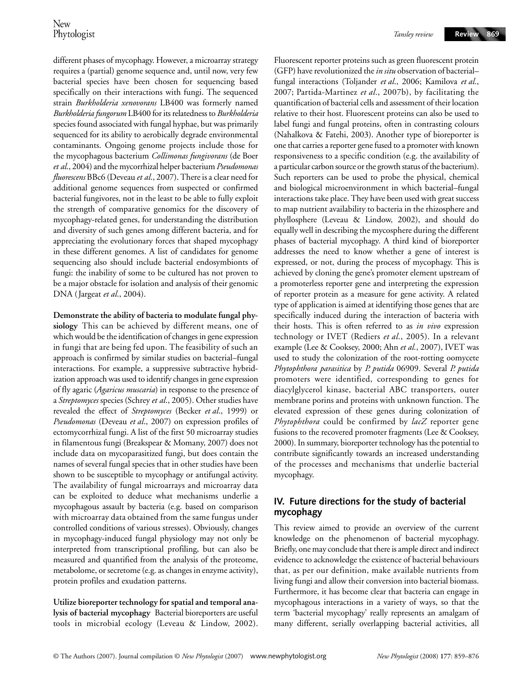different phases of mycophagy. However, a microarray strategy requires a (partial) genome sequence and, until now, very few bacterial species have been chosen for sequencing based specifically on their interactions with fungi. The sequenced strain *Burkholderia xenovorans* LB400 was formerly named *Burkholderia fungorum* LB400 for its relatedness to *Burkholderia* species found associated with fungal hyphae, but was primarily sequenced for its ability to aerobically degrade environmental contaminants. Ongoing genome projects include those for the mycophagous bacterium *Collimonas fungivorans* (de Boer *et al*., 2004) and the mycorrhizal helper bacterium *Pseudomonas fluorescens* BBc6 (Deveau *et al*., 2007). There is a clear need for additional genome sequences from suspected or confirmed bacterial fungivores, not in the least to be able to fully exploit the strength of comparative genomics for the discovery of mycophagy-related genes, for understanding the distribution and diversity of such genes among different bacteria, and for appreciating the evolutionary forces that shaped mycophagy in these different genomes. A list of candidates for genome sequencing also should include bacterial endosymbionts of fungi: the inability of some to be cultured has not proven to be a major obstacle for isolation and analysis of their genomic DNA (Jargeat *et al*., 2004).

**Demonstrate the ability of bacteria to modulate fungal physiology** This can be achieved by different means, one of which would be the identification of changes in gene expression in fungi that are being fed upon. The feasibility of such an approach is confirmed by similar studies on bacterial–fungal interactions. For example, a suppressive subtractive hybridization approach was used to identify changes in gene expression of fly agaric (*Agaricus muscaria*) in response to the presence of a *Streptomyces* species (Schrey *et al*., 2005). Other studies have revealed the effect of *Streptomyces* (Becker *et al*., 1999) or *Pseudomonas* (Deveau *et al*., 2007) on expression profiles of ectomycorrhizal fungi. A list of the first 50 microarray studies in filamentous fungi (Breakspear & Momany, 2007) does not include data on mycoparasitized fungi, but does contain the names of several fungal species that in other studies have been shown to be susceptible to mycophagy or antifungal activity. The availability of fungal microarrays and microarray data can be exploited to deduce what mechanisms underlie a mycophagous assault by bacteria (e.g. based on comparison with microarray data obtained from the same fungus under controlled conditions of various stresses). Obviously, changes in mycophagy-induced fungal physiology may not only be interpreted from transcriptional profiling, but can also be measured and quantified from the analysis of the proteome, metabolome, or secretome (e.g. as changes in enzyme activity), protein profiles and exudation patterns.

**Utilize bioreporter technology for spatial and temporal analysis of bacterial mycophagy** Bacterial bioreporters are useful tools in microbial ecology (Leveau & Lindow, 2002).

Fluorescent reporter proteins such as green fluorescent protein (GFP) have revolutionized the *in situ* observation of bacterial– fungal interactions (Toljander *et al*., 2006; Kamilova *et al*., 2007; Partida-Martinez *et al*., 2007b), by facilitating the quantification of bacterial cells and assessment of their location relative to their host. Fluorescent proteins can also be used to label fungi and fungal proteins, often in contrasting colours (Nahalkova & Fatehi, 2003). Another type of bioreporter is one that carries a reporter gene fused to a promoter with known responsiveness to a specific condition (e.g. the availability of a particular carbon source or the growth status of the bacterium). Such reporters can be used to probe the physical, chemical and biological microenvironment in which bacterial–fungal interactions take place. They have been used with great success to map nutrient availability to bacteria in the rhizosphere and phyllosphere (Leveau & Lindow, 2002), and should do equally well in describing the mycosphere during the different phases of bacterial mycophagy. A third kind of bioreporter addresses the need to know whether a gene of interest is expressed, or not, during the process of mycophagy. This is achieved by cloning the gene's promoter element upstream of a promoterless reporter gene and interpreting the expression of reporter protein as a measure for gene activity. A related type of application is aimed at identifying those genes that are specifically induced during the interaction of bacteria with their hosts. This is often referred to as *in vivo* expression technology or IVET (Rediers *et al*., 2005). In a relevant example (Lee & Cooksey, 2000; Ahn *et al.*, 2007), IVET was used to study the colonization of the root-rotting oomycete *Phytophthora parasitica* by *P. putida* 06909. Several *P. putida* promoters were identified, corresponding to genes for diacylglycerol kinase, bacterial ABC transporters, outer membrane porins and proteins with unknown function. The elevated expression of these genes during colonization of *Phytophthora* could be confirmed by *lacZ* reporter gene fusions to the recovered promoter fragments (Lee & Cooksey, 2000). In summary, bioreporter technology has the potential to contribute significantly towards an increased understanding of the processes and mechanisms that underlie bacterial mycophagy.

## **IV. Future directions for the study of bacterial mycophagy**

This review aimed to provide an overview of the current knowledge on the phenomenon of bacterial mycophagy. Briefly, one may conclude that there is ample direct and indirect evidence to acknowledge the existence of bacterial behaviours that, as per our definition, make available nutrients from living fungi and allow their conversion into bacterial biomass. Furthermore, it has become clear that bacteria can engage in mycophagous interactions in a variety of ways, so that the term 'bacterial mycophagy' really represents an amalgam of many different, serially overlapping bacterial activities, all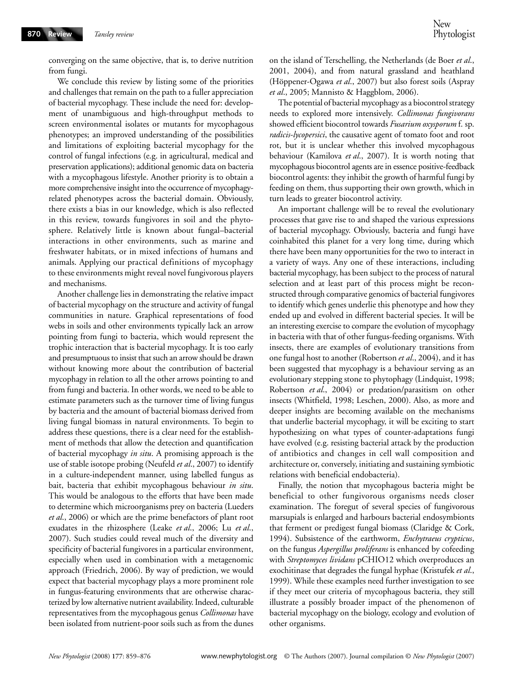converging on the same objective, that is, to derive nutrition from fungi.

We conclude this review by listing some of the priorities and challenges that remain on the path to a fuller appreciation of bacterial mycophagy. These include the need for: development of unambiguous and high-throughput methods to screen environmental isolates or mutants for mycophagous phenotypes; an improved understanding of the possibilities and limitations of exploiting bacterial mycophagy for the control of fungal infections (e.g. in agricultural, medical and preservation applications); additional genomic data on bacteria with a mycophagous lifestyle. Another priority is to obtain a more comprehensive insight into the occurrence of mycophagyrelated phenotypes across the bacterial domain. Obviously, there exists a bias in our knowledge, which is also reflected in this review, towards fungivores in soil and the phytosphere. Relatively little is known about fungal–bacterial interactions in other environments, such as marine and freshwater habitats, or in mixed infections of humans and animals. Applying our practical definitions of mycophagy to these environments might reveal novel fungivorous players and mechanisms.

Another challenge lies in demonstrating the relative impact of bacterial mycophagy on the structure and activity of fungal communities in nature. Graphical representations of food webs in soils and other environments typically lack an arrow pointing from fungi to bacteria, which would represent the trophic interaction that is bacterial mycophagy. It is too early and presumptuous to insist that such an arrow should be drawn without knowing more about the contribution of bacterial mycophagy in relation to all the other arrows pointing to and from fungi and bacteria. In other words, we need to be able to estimate parameters such as the turnover time of living fungus by bacteria and the amount of bacterial biomass derived from living fungal biomass in natural environments. To begin to address these questions, there is a clear need for the establishment of methods that allow the detection and quantification of bacterial mycophagy *in situ*. A promising approach is the use of stable isotope probing (Neufeld *et al*., 2007) to identify in a culture-independent manner, using labelled fungus as bait, bacteria that exhibit mycophagous behaviour *in situ*. This would be analogous to the efforts that have been made to determine which microorganisms prey on bacteria (Lueders *et al*., 2006) or which are the prime benefactors of plant root exudates in the rhizosphere (Leake *et al*., 2006; Lu *et al*., 2007). Such studies could reveal much of the diversity and specificity of bacterial fungivores in a particular environment, especially when used in combination with a metagenomic approach (Friedrich, 2006). By way of prediction, we would expect that bacterial mycophagy plays a more prominent role in fungus-featuring environments that are otherwise characterized by low alternative nutrient availability. Indeed, culturable representatives from the mycophagous genus *Collimonas* have been isolated from nutrient-poor soils such as from the dunes

on the island of Terschelling, the Netherlands (de Boer *et al*., 2001, 2004), and from natural grassland and heathland (Höppener-Ogawa *et al*., 2007) but also forest soils (Aspray *et al*., 2005; Mannisto & Haggblom, 2006).

The potential of bacterial mycophagy as a biocontrol strategy needs to explored more intensively. *Collimonas fungivorans* showed efficient biocontrol towards *Fusarium oxysporum* f. sp. *radicis-lycopersici*, the causative agent of tomato foot and root rot, but it is unclear whether this involved mycophagous behaviour (Kamilova *et al*., 2007). It is worth noting that mycophagous biocontrol agents are in essence positive-feedback biocontrol agents: they inhibit the growth of harmful fungi by feeding on them, thus supporting their own growth, which in turn leads to greater biocontrol activity.

An important challenge will be to reveal the evolutionary processes that gave rise to and shaped the various expressions of bacterial mycophagy. Obviously, bacteria and fungi have coinhabited this planet for a very long time, during which there have been many opportunities for the two to interact in a variety of ways. Any one of these interactions, including bacterial mycophagy, has been subject to the process of natural selection and at least part of this process might be reconstructed through comparative genomics of bacterial fungivores to identify which genes underlie this phenotype and how they ended up and evolved in different bacterial species. It will be an interesting exercise to compare the evolution of mycophagy in bacteria with that of other fungus-feeding organisms. With insects, there are examples of evolutionary transitions from one fungal host to another (Robertson *et al*., 2004), and it has been suggested that mycophagy is a behaviour serving as an evolutionary stepping stone to phytophagy (Lindquist, 1998; Robertson *et al*., 2004) or predation/parasitism on other insects (Whitfield, 1998; Leschen, 2000). Also, as more and deeper insights are becoming available on the mechanisms that underlie bacterial mycophagy, it will be exciting to start hypothesizing on what types of counter-adaptations fungi have evolved (e.g. resisting bacterial attack by the production of antibiotics and changes in cell wall composition and architecture or, conversely, initiating and sustaining symbiotic relations with beneficial endobacteria).

Finally, the notion that mycophagous bacteria might be beneficial to other fungivorous organisms needs closer examination. The foregut of several species of fungivorous marsupials is enlarged and harbours bacterial endosymbionts that ferment or predigest fungal biomass (Claridge & Cork, 1994). Subsistence of the earthworm, *Enchytraeus crypticus*, on the fungus *Aspergillus proliferans* is enhanced by cofeeding with *Streptomyces lividans* pCHIO12 which overproduces an exochitinase that degrades the fungal hyphae (Kristufek *et al*., 1999). While these examples need further investigation to see if they meet our criteria of mycophagous bacteria, they still illustrate a possibly broader impact of the phenomenon of bacterial mycophagy on the biology, ecology and evolution of other organisms.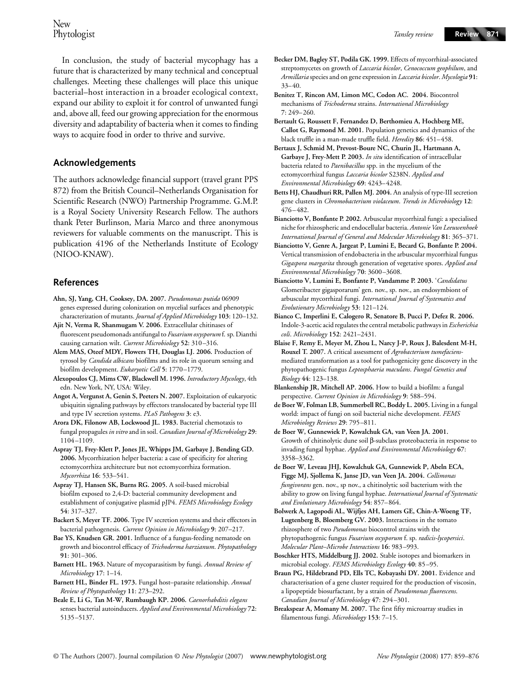In conclusion, the study of bacterial mycophagy has a future that is characterized by many technical and conceptual challenges. Meeting these challenges will place this unique bacterial–host interaction in a broader ecological context, expand our ability to exploit it for control of unwanted fungi and, above all, feed our growing appreciation for the enormous diversity and adaptability of bacteria when it comes to finding ways to acquire food in order to thrive and survive.

### **Acknowledgements**

The authors acknowledge financial support (travel grant PPS 872) from the British Council–Netherlands Organisation for Scientific Research (NWO) Partnership Programme. G.M.P. is a Royal Society University Research Fellow. The authors thank Peter Burlinson, Maria Marco and three anonymous reviewers for valuable comments on the manuscript. This is publication 4196 of the Netherlands Institute of Ecology (NIOO-KNAW).

#### **References**

- **Ahn, SJ, Yang, CH, Cooksey, DA. 2007.** *Pseudomonas putida* 06909 genes expressed during colonization on mycelial surfaces and phenotypic characterization of mutants. *Journal of Applied Microbiology* **103**: 120–132.
- **Ajit N, Verma R, Shanmugam V. 2006.** Extracellular chitinases of fluorescent pseudomonads antifungal to *Fusarium oxysporum* f. sp. Dianthi causing carnation wilt. *Current Microbiology* **52**: 310–316.
- **Alem MAS, Oteef MDY, Flowers TH, Douglas LJ. 2006.** Production of tyrosol by *Candida albicans* biofilms and its role in quorum sensing and biofilm development. *Eukaryotic Cell* **5**: 1770–1779.
- **Alexopoulos CJ, Mims CW, Blackwell M. 1996.** *Introductory Mycology*, 4th edn. New York, NY, USA: Wiley.
- **Angot A, Vergunst A, Genin S, Peeters N. 2007.** Exploitation of eukaryotic ubiquitin signaling pathways by effectors translocated by bacterial type III and type IV secretion systems. *PLoS Pathogens* **3**: e3.
- **Arora DK, Filonow AB, Lockwood JL. 1983.** Bacterial chemotaxis to fungal propagules *in vitro* and in soil. *Canadian Journal of Microbiology* **29**: 1104–1109.
- **Aspray TJ, Frey-Klett P, Jones JE, Whipps JM, Garbaye J, Bending GD. 2006.** Mycorrhization helper bacteria: a case of specificity for altering ectomycorrhiza architecture but not ectomycorrhiza formation. *Mycorrhiza* **16**: 533–541.
- **Aspray TJ, Hansen SK, Burns RG. 2005.** A soil-based microbial biofilm exposed to 2,4-D: bacterial community development and establishment of conjugative plasmid pJP4. *FEMS Microbiology Ecology* **54**: 317–327.
- **Backert S, Meyer TF. 2006.** Type IV secretion systems and their effectors in bacterial pathogenesis. *Current Opinion in Microbiology* **9**: 207–217.
- **Bae YS, Knudsen GR. 2001.** Influence of a fungus-feeding nematode on growth and biocontrol efficacy of *Trichoderma harzianum*. *Phytopathology* **91**: 301–306.
- **Barnett HL. 1963.** Nature of mycoparasitism by fungi. *Annual Review of Microbiology* **17**: 1–14.
- **Barnett HL, Binder FL. 1973.** Fungal host–parasite relationship. *Annual Review of Phytopathology* **11**: 273–292.
- **Beale E, Li G, Tan M-W, Rumbaugh KP. 2006.** *Caenorhabditis elegans*  senses bacterial autoinducers. *Applied and Environmental Microbiology* **72**: 5135–5137.
- **Becker DM, Bagley ST, Podila GK. 1999.** Effects of mycorrhizal-associated streptomycetes on growth of *Laccaria bicolor*, *Cenococcum geophilum*, and *Armillaria* species and on gene expression in *Laccaria bicolor*. *Mycologia* **91**: 33–40.
- **Benitez T, Rincon AM, Limon MC, Codon AC. 2004.** Biocontrol mechanisms of *Trichoderma* strains. *International Microbiology* **7**: 249–260.
- **Bertault G, Roussett F, Fernandez D, Berthomieu A, Hochberg ME, Callot G, Raymond M. 2001.** Population genetics and dynamics of the black truffle in a man-made truffle field. *Heredity* **86**: 451–458.
- **Bertaux J, Schmid M, Prevost-Boure NC, Churin JL, Hartmann A, Garbaye J, Frey-Mett P. 2003.** *In situ* identification of intracellular bacteria related to *Paenibacillus* spp. in the mycelium of the ectomycorrhizal fungus *Laccaria bicolor* S238N. *Applied and Environmental Microbiology* **69**: 4243–4248.
- **Betts HJ, Chaudhuri RR, Pallen MJ. 2004.** An analysis of type-III secretion gene clusters in *Chromobacterium violaceum*. *Trends in Microbiology* **12**: 476–482.
- **Bianciotto V, Bonfante P. 2002.** Arbuscular mycorrhizal fungi: a specialised niche for rhizospheric and endocellular bacteria. *Antonie Van Leeuwenhoek International Journal of General and Molecular Microbiology* **81**: 365–371.
- **Bianciotto V, Genre A, Jargeat P, Lumini E, Becard G, Bonfante P. 2004.**  Vertical transmission of endobacteria in the arbuscular mycorrhizal fungus *Gigaspora margarita* through generation of vegetative spores. *Applied and Environmental Microbiology* **70**: 3600–3608.
- **Bianciotto V, Lumini E, Bonfante P, Vandamme P. 2003.** '*Candidatus* Glomeribacter gigasporarum' gen. nov., sp. nov., an endosymbiont of arbuscular mycorrhizal fungi. *International Journal of Systematics and Evolutionary Microbiology* **53**: 121–124.
- **Bianco C, Imperlini E, Calogero R, Senatore B, Pucci P, Defez R. 2006.**  Indole-3-acetic acid regulates the central metabolic pathways in *Escherichia coli*. *Microbiology* **152**: 2421–2431.
- **Blaise F, Remy E, Meyer M, Zhou L, Narcy J-P, Roux J, Balesdent M-H, Rouxel T. 2007.** A critical assessment of *Agrobacterium tumefaciens*mediated transformation as a tool for pathogenicity gene discovery in the phytopathogenic fungus *Leptosphaeria maculans*. *Fungal Genetics and Biology* **44**: 123–138.
- **Blankenship JR, Mitchell AP. 2006.** How to build a biofilm: a fungal perspective. *Current Opinion in Microbiology* **9**: 588–594.
- **de Boer W, Folman LB, Summerbell RC, Boddy L. 2005.** Living in a fungal world: impact of fungi on soil bacterial niche development. *FEMS Microbiology Reviews* **29**: 795–811.
- **de Boer W, Gunnewiek P, Kowalchuk GA, van Veen JA. 2001.**  Growth of chitinolytic dune soil β-subclass proteobacteria in response to invading fungal hyphae. *Applied and Environmental Microbiology* **67**: 3358–3362.
- **de Boer W, Leveau JHJ, Kowalchuk GA, Gunnewiek P, Abeln ECA, Figge MJ, Sjollema K, Janse JD, van Veen JA. 2004.** *Collimonas fungivorans* gen. nov., sp nov., a chitinolytic soil bacterium with the ability to grow on living fungal hyphae. *International Journal of Systematic and Evolutionary Microbiology* **54**: 857–864.
- **Bolwerk A, Lagopodi AL, Wijfjes AH, Lamers GE, Chin-A-Woeng TF, Lugtenberg B, Bloemberg GV. 2003.** Interactions in the tomato rhizosphere of two *Pseudomonas* biocontrol strains with the phytopathogenic fungus *Fusarium oxysporum* f. sp. *radicis-lycopersici*. *Molecular Plant–Microbe Interactions* **16**: 983–993.
- **Boschker HTS, Middelburg JJ. 2002.** Stable isotopes and biomarkers in microbial ecology. *FEMS Microbiology Ecology* **40**: 85–95.
- **Braun PG, Hildebrand PD, Ells TC, Kobayashi DY. 2001.** Evidence and characterisation of a gene cluster required for the production of viscosin, a lipopeptide biosurfactant, by a strain of *Pseudomonas fluorescens*. *Canadian Journal of Microbiology* **47**: 294–301.
- **Breakspear A, Momany M. 2007.** The first fifty microarray studies in filamentous fungi. *Microbiology* **153**: 7–15.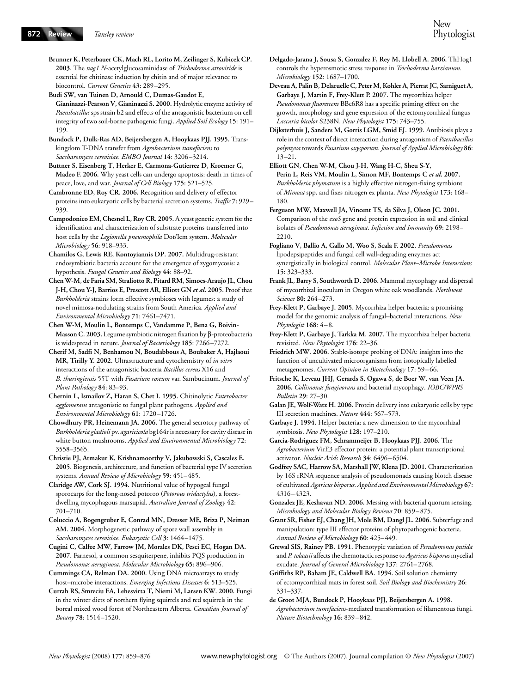**Budi SW, van Tuinen D, Arnould C, Dumas-Gaudot E, Gianinazzi-Pearson V, Gianinazzi S. 2000.** Hydrolytic enzyme activity of *Paenibacillus* sps strain b2 and effects of the antagonistic bacterium on cell integrity of two soil-borne pathogenic fungi. *Applied Soil Ecology* **15**: 191– 199.

**Bundock P, Dulk-Ras AD, Beijersbergen A, Hooykaas PJJ. 1995.** Transkingdom T-DNA transfer from *Agrobacterium tumefaciens* to *Saccharomyces cerevisiae*. *EMBO Journal* **14**: 3206–3214.

**Buttner S, Eisenberg T, Herker E, Carmona-Gutierrez D, Kroemer G, Madeo F. 2006.** Why yeast cells can undergo apoptosis: death in times of peace, love, and war. *Journal of Cell Biology* **175**: 521–525.

**Cambronne ED, Roy CR. 2006.** Recognition and delivery of effector proteins into eukaryotic cells by bacterial secretion systems. *Traffic* **7**: 929– 939.

**Campodonico EM, Chesnel L, Roy CR. 2005.** A yeast genetic system for the identification and characterization of substrate proteins transferred into host cells by the *Legionella pneumophila* Dot/Icm system. *Molecular Microbiology* **56**: 918–933.

**Chamilos G, Lewis RE, Kontoyiannis DP. 2007.** Multidrug-resistant endosymbiotic bacteria account for the emergence of zygomycosis: a hypothesis. *Fungal Genetics and Biology* **44**: 88–92.

**Chen W-M, de Faria SM, Straliotto R, Pitard RM, Simoes-Araujo JL, Chou J-H, Chou Y-J, Barrios E, Prescott AR, Elliott GN** *et al***. 2005.** Proof that *Burkholderia* strains form effective symbioses with legumes: a study of novel mimosa-nodulating strains from South America. *Applied and Environmental Microbiology* **71**: 7461–7471.

**Chen W-M, Moulin L, Bontemps C, Vandamme P, Bena G, Boivin-Masson C. 2003.** Legume symbiotic nitrogen fixation by β-proteobacteria is widespread in nature. *Journal of Bacteriology* **185**: 7266–7272.

**Cherif M, Sadfi N, Benhamou N, Boudabbous A, Boubaker A, Hajlaoui MR, Tirilly Y. 2002.** Ultrastructure and cytochemistry of *in vitro*  interactions of the antagonistic bacteria *Bacillus cereus* X16 and *B. thuringiensis* 55T with *Fusarium roseum* var. Sambucinum. *Journal of Plant Pathology* **84**: 83–93.

**Chernin L, Ismailov Z, Haran S, Chet I. 1995.** Chitinolytic *Enterobacter agglomerans* antagonistic to fungal plant pathogens. *Applied and Environmental Microbiology* **61**: 1720–1726.

**Chowdhury PR, Heinemann JA. 2006.** The general secrotory pathway of *Burkholderia gladioli* pv. *agaricicola* bg164r is necessary for cavity disease in white button mushrooms. *Applied and Environmental Microbiology* **72**: 3558–3565.

**Christie PJ, Atmakur K, Krishnamoorthy V, Jakubowski S, Cascales E. 2005.** Biogenesis, architecture, and function of bacterial type IV secretion systems. *Annual Review of Microbiology* **59**: 451–485.

**Claridge AW, Cork SJ. 1994.** Nutritional value of hypogeal fungal sporocarps for the long-nosed potoroo (*Potorous tridactylus*), a forestdwelling mycophagous marsupial. *Australian Journal of Zoology* **42**: 701–710.

**Coluccio A, Bogengruber E, Conrad MN, Dresser ME, Briza P, Neiman AM. 2004.** Morphogenetic pathway of spore wall assembly in *Saccharomyces cerevisiae*. *Eukaryotic Cell* **3**: 1464–1475.

**Cugini C, Calfee MW, Farrow JM, Morales DK, Pesci EC, Hogan DA. 2007.** Farnesol, a common sesquiterpene, inhibits PQS production in *Pseudomonas aeruginosa*. *Molecular Microbiology* **65**: 896–906.

**Cummings CA, Relman DA. 2000.** Using DNA microarrays to study host–microbe interactions. *Emerging Infectious Diseases* **6**: 513–525.

**Currah RS, Smreciu EA, Lehesvirta T, Niemi M, Larsen KW. 2000.** Fungi in the winter diets of northern flying squirrels and red squirrels in the boreal mixed wood forest of Northeastern Alberta. *Canadian Journal of Botany* **78**: 1514–1520.

**Delgado-Jarana J, Sousa S, Gonzalez F, Rey M, Llobell A. 2006.** ThHog1 controls the hyperosmotic stress response in *Trichoderma harzianum*. *Microbiology* **152**: 1687–1700.

**Deveau A, Palin B, Delaruelle C, Peter M, Kohler A, Pierrat JC, Sarniguet A, Garbaye J, Martin F, Frey-Klett P. 2007.** The mycorrhiza helper *Pseudomonas fluorescens* BBc6R8 has a specific priming effect on the growth, morphology and gene expression of the ectomycorrhizal fungus *Laccaria bicolor* S238N. *New Phytologist* **175**: 743–755.

**Dijksterhuis J, Sanders M, Gorris LGM, Smid EJ. 1999.** Antibiosis plays a role in the context of direct interaction during antagonism of *Paenibacillus polymyxa* towards *Fusarium oxysporum*. *Journal of Applied Microbiology* **86**: 13–21.

**Elliott GN, Chen W-M, Chou J-H, Wang H-C, Sheu S-Y, Perin L, Reis VM, Moulin L, Simon MF, Bontemps C** *et al***. 2007.**  *Burkholderia phymatum* is a highly effective nitrogen-fixing symbiont of *Mimosa* spp. and fixes nitrogen ex planta. *New Phytologist* **173**: 168– 180.

**Ferguson MW, Maxwell JA, Vincent TS, da Silva J, Olson JC. 2001.**  Comparison of the *exoS* gene and protein expression in soil and clinical isolates of *Pseudomonas aeruginosa*. *Infection and Immunity* **69**: 2198– 2210.

**Fogliano V, Ballio A, Gallo M, Woo S, Scala F. 2002.** *Pseudomonas*  lipodepsipeptides and fungal cell wall-degrading enzymes act synergistically in biological control. *Molecular Plant–Microbe Interactions* **15**: 323–333.

**Frank JL, Barry S, Southworth D. 2006.** Mammal mycophagy and dispersal of mycorrhizal inoculum in Oregon white oak woodlands. *Northwest Science* **80**: 264–273.

**Frey-Klett P, Garbaye J. 2005.** Mycorrhiza helper bacteria: a promising model for the genomic analysis of fungal–bacterial interactions. *New Phytologist* **168**: 4–8.

**Frey-Klett P, Garbaye J, Tarkka M. 2007.** The mycorrhiza helper bacteria revisited. *New Phytologist* **176**: 22–36.

**Friedrich MW. 2006.** Stable-isotope probing of DNA: insights into the function of uncultivated microorganisms from isotopically labelled metagenomes. *Current Opinion in Biotechnology* **17**: 59–66.

**Fritsche K, Leveau JHJ, Gerards S, Ogawa S, de Boer W, van Veen JA. 2006.** *Collimonas fungivorans* and bacterial mycophagy. *IOBC/WPRS Bulletin* **29**: 27–30.

**Galan JE, Wolf-Watz H. 2006.** Protein delivery into eukaryotic cells by type III secretion machines. *Nature* **444**: 567–573.

**Garbaye J. 1994.** Helper bacteria: a new dimension to the mycorrhizal symbiosis. *New Phytologist* **128**: 197–210.

**Garcia-Rodriguez FM, Schrammeijer B, Hooykaas PJJ. 2006.** The *Agrobacterium* VirE3 effector protein: a potential plant transcriptional activator. *Nucleic Acids Research* **34**: 6496–6504.

Godfrey SAC, Harrow SA, Marshall JW, Klena JD. 2001. Characterization by 16S rRNA sequence analysis of pseudomonads causing blotch disease of cultivated *Agaricus bisporus*. *Applied and Environmental Microbiology* **67**: 4316–4323.

**Gonzalez JE, Keshavan ND. 2006.** Messing with bacterial quorum sensing. *Microbiology and Molecular Biology Reviews* **70**: 859–875.

**Grant SR, Fisher EJ, Chang JH, Mole BM, Dangl JL. 2006.** Subterfuge and manipulation: type III effector proteins of phytopathogenic bacteria. *Annual Review of Microbiology* **60**: 425–449.

**Grewal SIS, Rainey PB. 1991.** Phenotypic variation of *Pseudomonas putida*  and *P. tolaasii* affects the chemotactic response to *Agaricus bisporus* mycelial exudate. *Journal of General Microbiology* **137**: 2761–2768.

**Griffiths RP, Baham JE, Caldwell BA. 1994.** Soil solution chemistry of ectomycorrhizal mats in forest soil. *Soil Biology and Biochemistry* **26**: 331–337.

**de Groot MJA, Bundock P, Hooykaas PJJ, Beijersbergen A. 1998.**  *Agrobacterium tumefaciens*-mediated transformation of filamentous fungi. *Nature Biotechnology* **16**: 839–842.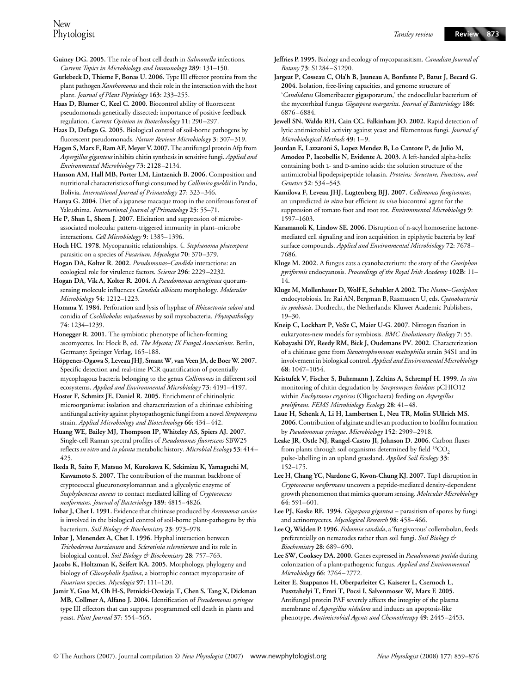**Guiney DG. 2005.** The role of host cell death in *Salmonella* infections. *Current Topics in Microbiology and Immunology* **289**: 131–150.

**Gurlebeck D, Thieme F, Bonas U. 2006.** Type III effector proteins from the plant pathogen *Xanthomonas* and their role in the interaction with the host plant. *Journal of Plant Physiology* **163**: 233–255.

**Haas D, Blumer C, Keel C. 2000.** Biocontrol ability of fluorescent pseudomonads genetically dissected: importance of positive feedback regulation. *Current Opinion in Biotechnology* **11**: 290–297.

**Haas D, Defago G. 2005.** Biological control of soil-borne pathogens by fluorescent pseudomonads. *Nature Reviews Microbiology* **3**: 307–319.

**Hagen S, Marx F, Ram AF, Meyer V. 2007.** The antifungal protein Afp from *Aspergillus giganteus* inhibits chitin synthesis in sensitive fungi. *Applied and Environmental Microbiology* **73**: 2128–2134.

**Hanson AM, Hall MB, Porter LM, Lintzenich B. 2006.** Composition and nutritional characteristics of fungi consumed by *Callimico goeldii* in Pando, Bolivia. *International Journal of Primatology* **27**: 323–346.

**Hanya G. 2004.** Diet of a japanese macaque troop in the coniferous forest of Yakushima. *International Journal of Primatology* **25**: 55–71.

**He P, Shan L, Sheen J. 2007.** Elicitation and suppression of microbeassociated molecular pattern-triggered immunity in plant–microbe interactions. *Cell Microbiology* **9**: 1385–1396.

**Hoch HC. 1978.** Mycoparasitic relationships. 4. *Stephanoma phaeospora*  parasitic on a species of *Fusarium*. *Mycologia* **70**: 370–379.

**Hogan DA, Kolter R. 2002.** *Pseudomonas–Candida* interactions: an ecological role for virulence factors. *Science* **296**: 2229–2232.

**Hogan DA, Vik A, Kolter R. 2004.** A *Pseudomonas aeruginosa* quorumsensing molecule influences *Candida albicans* morphology. *Molecular Microbiology* **54**: 1212–1223.

**Homma Y. 1984.** Perforation and lysis of hyphae of *Rhizoctonia solani* and conidia of *Cochliobolus miyabeanus* by soil myxobacteria. *Phytopathology* **74**: 1234–1239.

**Honegger R. 2001.** The symbiotic phenotype of lichen-forming ascomycetes. In: Hock B, ed. *The Mycota; IX Fungal Associations*. Berlin, Germany: Springer Verlag, 165–188.

**Höppener-Ogawa S, Leveau JHJ, Smant W, van Veen JA, de Boer W. 2007.**  Specific detection and real-time PCR quantification of potentially mycophagous bacteria belonging to the genus *Collimonas* in different soil ecosystems. *Applied and Environmental Microbiology* **73**: 4191–4197.

**Hoster F, Schmitz JE, Daniel R. 2005.** Enrichment of chitinolytic microorganisms: isolation and characterization of a chitinase exhibiting antifungal activity against phytopathogenic fungi from a novel *Streptomyces*  strain. *Applied Microbiology and Biotechnology* **66**: 434–442.

**Huang WE, Bailey MJ, Thompson IP, Whiteley AS, Spiers AJ. 2007.**  Single-cell Raman spectral profiles of *Pseudomonas fluorescens* SBW25 reflects *in vitro* and *in planta* metabolic history. *Microbial Ecology* **53**: 414– 425.

**Ikeda R, Saito F, Matsuo M, Kurokawa K, Sekimizu K, Yamaguchi M, Kawamoto S. 2007.** The contribution of the mannan backbone of cryptococcal glucuronoxylomannan and a glycolytic enzyme of *Staphylococcus aureus* to contact mediated killing of *Cryptococcus neoformans*. *Journal of Bacteriology* **189**: 4815–4826.

**Inbar J, Chet I. 1991.** Evidence that chitinase produced by *Aeromonas caviae*  is involved in the biological control of soil-borne plant-pathogens by this bacterium. *Soil Biology & Biochemistry* **23**: 973–978.

**Inbar J, Menendez A, Chet I. 1996.** Hyphal interaction between *Trichoderma harzianum* and *Sclerotinia sclerotiorum* and its role in biological control. *Soil Biology & Biochemistry* **28**: 757–763.

**Jacobs K, Holtzman K, Seifert KA. 2005.** Morphology, phylogeny and biology of *Gliocephalis hyalina*, a biotrophic contact mycoparasite of *Fusarium* species. *Mycologia* **97**: 111–120.

**Jamir Y, Guo M, Oh H-S, Petnicki-Ocwieja T, Chen S, Tang X, Dickman MB, Collmer A, Alfano J. 2004.** Identification of *Pseudomonas syringae*  type III effectors that can suppress programmed cell death in plants and yeast. *Plant Journal* **37**: 554–565.

**Jeffries P. 1995.** Biology and ecology of mycoparasitism. *Canadian Journal of Botany* **73**: S1284–S1290.

**Jargeat P, Cosseau C, Ola'h B, Jauneau A, Bonfante P, Batut J, Becard G. 2004.** Isolation, free-living capacities, and genome structure of '*Candidatus* Glomeribacter gigasporarum,' the endocellular bacterium of the mycorrhizal fungus *Gigaspora margarita*. *Journal of Bacteriology* **186**: 6876–6884.

**Jewell SN, Waldo RH, Cain CC, Falkinham JO. 2002.** Rapid detection of lytic antimicrobial activity against yeast and filamentous fungi. *Journal of Microbiological Methods* **49**: 1–9.

**Jourdan E, Lazzaroni S, Lopez Mendez B, Lo Cantore P, de Julio M, Amodeo P, Iacobellis N, Evidente A. 2003.** A left-handed alpha-helix containing both L- and D-amino acids: the solution structure of the antimicrobial lipodepsipeptide tolaasin. *Proteins: Structure, Function, and Genetics* **52**: 534–543.

**Kamilova F, Leveau JHJ, Lugtenberg BJJ. 2007.** *Collimonas fungivorans*, an unpredicted *in vitro* but efficient *in vivo* biocontrol agent for the suppression of tomato foot and root rot. *Environmental Microbiology* **9**: 1597–1603.

**Karamanoli K, Lindow SE. 2006.** Disruption of n-acyl homoserine lactonemediated cell signaling and iron acquisition in epiphytic bacteria by leaf surface compounds. *Applied and Environmental Microbiology* **72**: 7678– 7686.

**Kluge M. 2002.** A fungus eats a cyanobacterium: the story of the *Geosiphon pyriformis* endocyanosis. *Proceedings of the Royal Irish Academy* **102B**: 11– 14.

**Kluge M, Mollenhauer D, Wolf E, Schubler A 2002.** The *Nostoc*–*Geosiphon*  endocytobiosis. In: Rai AN, Bergman B, Rasmussen U, eds. *Cyanobacteria in symbiosis*. Dordrecht, the Netherlands: Kluwer Academic Publishers, 19–30.

**Kneip C, Lockhart P, VoSz C, Maier U-G. 2007.** Nitrogen fixation in eukaryotes-new models for symbiosis. *BMC Evolutionary Biology* **7**: 55.

**Kobayashi DY, Reedy RM, Bick J, Oudemans PV. 2002.** Characterization of a chitinase gene from *Stenotrophomonas maltophilia* strain 34S1 and its involvement in biological control. *Applied and Environmental Microbiology* **68**: 1047–1054.

**Kristufek V, Fischer S, Buhrmann J, Zeltins A, Schrempf H. 1999.** *In situ* monitoring of chitin degradation by *Streptomyces lividans* pCHIO12 within *Enchytraeus crypticus* (Oligochaeta) feeding on *Aspergillus proliferans*. *FEMS Microbiology Ecology* **28**: 41–48.

**Laue H, Schenk A, Li H, Lambertsen L, Neu TR, Molin SUllrich MS. 2006.** Contribution of alginate and levan production to biofilm formation by *Pseudomonas syringae*. *Microbiology* **152**: 2909–2918.

Leake JR, Ostle NJ, Rangel-Castro JI, Johnson D. 2006. Carbon fluxes from plants through soil organisms determined by field  $^{13}CO_2$ pulse-labelling in an upland grassland. *Applied Soil Ecology* **33**: 152–175.

Lee H, Chang YC, Nardone G, Kwon-Chung KJ. 2007. Tup1 disruption in *Cryptococcus neoformans* uncovers a peptide-mediated density-dependent growth phenomenon that mimics quorum sensing. *Molecular Microbiology* **64**: 591–601.

**Lee PJ, Koske RE. 1994.** *Gigaspora gigantea* – parasitism of spores by fungi and actinomycetes. *Mycological Research* **98**: 458–466.

**Lee Q, Widden P. 1996.** *Folsomia candida*, a 'fungivorous' collembolan, feeds preferentially on nematodes rather than soil fungi. *Soil Biology & Biochemistry* **28**: 689–690.

**Lee SW, Cooksey DA. 2000.** Genes expressed in *Pseudomonas putida* during colonization of a plant-pathogenic fungus. *Applied and Environmental Microbiology* **66**: 2764–2772.

**Leiter E, Szappanos H, Oberparleiter C, Kaiserer L, Csernoch L, Pusztahelyi T, Emri T, Pocsi I, Salvenmoser W, Marx F. 2005.**  Antifungal protein PAF severely affects the integrity of the plasma membrane of *Aspergillus nidulans* and induces an apoptosis-like phenotype. *Antimicrobial Agents and Chemotherapy* **49**: 2445–2453.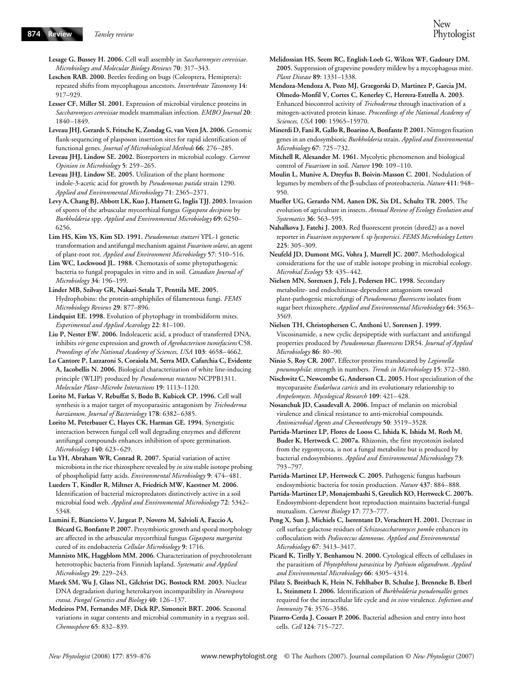**Lesage G, Bussey H. 2006.** Cell wall assembly in *Saccharomyces cerevisiae*. *Microbiology and Molecular Biology Reviews* **70**: 317–343.

- **Leschen RAB. 2000.** Beetles feeding on bugs (Coleoptera, Hemiptera): repeated shifts from mycophagous ancestors. *Invertebrate Taxonomy* **14**: 917–929.
- **Lesser CF, Miller SI. 2001.** Expression of microbial virulence proteins in *Saccharomyces cerevisiae* models mammalian infection. *EMBO Journal* **20**: 1840–1849.
- **Leveau JHJ, Gerards S, Fritsche K, Zondag G, van Veen JA. 2006.** Genomic flank-sequencing of plasposon insertion sites for rapid identification of functional genes. *Journal of Microbiological Methods* **66**: 276–285.
- **Leveau JHJ, Lindow SE. 2002.** Bioreporters in microbial ecology. *Current Opinion in Microbiology* **5**: 259–265.
- **Leveau JHJ, Lindow SE. 2005.** Utilization of the plant hormone indole-3-acetic acid for growth by *Pseudomonas putida* strain 1290. *Applied and Environmental Microbiology* **71**: 2365–2371.
- **Levy A, Chang BJ, Abbott LK, Kuo J, Harnett G, Inglis TJJ. 2003.** Invasion of spores of the arbuscular mycorrhizal fungus *Gigaspora decipiens* by *Burkholderia* spp. *Applied and Environmental Microbiology* **69**: 6250– 6256.
- **Lim HS, Kim YS, Kim SD. 1991.** *Pseudomonas stutzeri* YPL-1 genetic transformation and antifungal mechanism against *Fusarium solani*, an agent of plant-root rot. *Applied and Environment Microbiology* **57**: 510–516.
- **Lim WC, Lockwood JL. 1988.** Chemotaxis of some phytopathogenic bacteria to fungal propagules in vitro and in soil. *Canadian Journal of Microbiology* **34**: 196–199.
- **Linder MB, Szilvay GR, Nakari-Setala T, Penttila ME. 2005.**  Hydrophobins: the protein-amphiphiles of filamentous fungi. *FEMS Microbiology Reviews* **29**: 877–896.
- **Lindquist EE. 1998.** Evolution of phytophagy in trombidiform mites. *Experimental and Applied Acarology* **22**: 81–100.
- **Liu P, Nester EW. 2006.** Indoleacetic acid, a product of transferred DNA, inhibits *vir* gene expression and growth of *Agrobacterium tumefaciens* C58. *Proeedings of the National Academy of Sciences, USA* **103**: 4658–4662.
- **Lo Cantore P, Lazzaroni S, Coraiola M, Serra MD, Cafarchia C, Evidente A, Iacobellis N. 2006.** Biological characterization of white line-inducing principle (WLIP) produced by *Pseudomonas reactans* NCPPB1311. *Molecular Plant–Microbe Interactions* **19**: 1113–1120.
- **Lorito M, Farkas V, Rebuffat S, Bodo B, Kubicek CP. 1996.** Cell wall synthesis is a major target of mycoparasitic antagonism by *Trichoderma harzianum*. *Journal of Bacteriology* **178**: 6382–6385.
- **Lorito M, Peterbauer C, Hayes CK, Harman GE. 1994.** Synergistic interaction between fungal cell wall degrading enzymes and different antifungal compounds enhances inhibition of spore germination. *Microbiology* **140**: 623–629.
- **Lu YH, Abraham WR, Conrad R. 2007.** Spatial variation of active microbiota in the rice rhizosphere revealed by *in situ* stable isotope probing of phospholipid fatty acids. *Environmental Microbiology* **9**: 474–481.
- **Lueders T, Kindler R, Miltner A, Friedrich MW, Kaestner M. 2006.**  Identification of bacterial micropredators distinctively active in a soil microbial food web. *Applied and Environmental Microbiology* **72**: 5342– 5348.
- **Lumini E, Bianciotto V, Jargeat P, Novero M, Salvioli A, Faccio A, Bécard G, Bonfante P. 2007.** Presymbiotic growth and sporal morphology are affected in the arbuscular mycorrhizal fungus *Gigaspora margarita*  cured of its endobacteria *Cellular Microbiology* **9**: 1716.
- **Mannisto MK, Haggblom MM. 2006.** Characterization of psychrotolerant heterotrophic bacteria from Finnish lapland. *Systematic and Applied Microbiology* **29**: 229–243.
- **Marek SM, Wu J, Glass NL, Gilchrist DG, Bostock RM. 2003.** Nuclear DNA degradation during heterokaryon incompatibility in *Neurospora crassa*. *Fungal Genetics and Biology* **40**: 126–137.
- **Medeiros PM, Fernandes MF, Dick RP, Simoneit BRT. 2006.** Seasonal variations in sugar contents and microbial community in a ryegrass soil. *Chemosphere* **65**: 832–839.
- **Melidossian HS, Seem RC, English-Loeb G, Wilcox WF, Gadoury DM. 2005.** Suppression of grapevine powdery mildew by a mycophagous mite. *Plant Disease* **89**: 1331–1338.
- **Mendoza-Mendoza A, Pozo MJ, Grzegorski D, Martinez P, Garcia JM, Olmedo-Monfil V, Cortes C, Kenerley C, Herrera-Estrella A. 2003.**  Enhanced biocontrol activity of *Trichoderma* through inactivation of a mitogen-activated protein kinase. *Proceedings of the National Academy of Sciences, USA* **100**: 15965–15970.
- **Minerdi D, Fani R, Gallo R, Boarino A, Bonfante P. 2001.** Nitrogen fixation genes in an endosymbiotic *Burkholderia* strain. *Applied and Environmental Microbiology* **67**: 725–732.
- **Mitchell R, Alexander M. 1961.** Mycolytic phenomenon and biological control of *Fusarium* in soil. *Nature* **190**: 109–110.
- **Moulin L, Munive A, Dreyfus B, Boivin-Masson C. 2001.** Nodulation of legumes by members of the β-subclass of proteobacteria. *Nature* **411**: 948– 950.
- **Mueller UG, Gerardo NM, Aanen DK, Six DL, Schultz TR. 2005.** The evolution of agriculture in insects. *Annual Review of Ecology Evolution and Systematics* **36**: 563–595.
- **Nahalkova J, Fatehi J. 2003.** Red fluorescent protein (dsred2) as a novel reporter in *Fusarium oxysporum* f. sp *lycopersici*. *FEMS Microbiology Letters* **225**: 305–309.
- **Neufeld JD, Dumont MG, Vohra J, Murrell JC. 2007.** Methodological considerations for the use of stable isotope probing in microbial ecology. *Microbial Ecology* **53**: 435–442.
- **Nielsen MN, Sorensen J, Fels J, Pedersen HC. 1998.** Secondary metabolite- and endochitinase-dependent antagonism toward plant-pathogenic microfungi of *Pseudomonas fluorescens* isolates from sugar beet rhizosphere. *Applied and Environmental Microbiology* **64**: 3563– 3569.
- **Nielsen TH, Christophersen C, Anthoni U, Sorensen J. 1999.**  Viscosinamide, a new cyclic depsipeptide with surfactant and antifungal properties produced by *Pseudomonas fluorescens* DR54. *Journal of Applied Microbiology* **86**: 80–90.
- **Ninio S, Roy CR. 2007.** Effector proteins translocated by *Legionella pneumophila*: strength in numbers. *Trends in Microbiology* **15**: 372–380.
- **Nischwitz C, Newcombe G, Anderson CL. 2005.** Host specialization of the mycoparasite *Eudarluca caricis* and its evolutionary relationship to *Ampelomyces*. *Mycological Research* **109**: 421–428.
- **Nosanchuk JD, Casadevall A. 2006.** Impact of melanin on microbial virulence and clinical resistance to anti-microbial compounds. *Antimicrobial Agents and Chemotherapy* **50**: 3519–3528.
- **Partida-Martinez LP, Flores de Looss C, Ishida K, Ishida M, Roth M, Buder K, Hertweck C. 2007a.** Rhizonin, the first mycotoxin isolated from the zygomycota, is not a fungal metabolite but is produced by bacterial endosymbionts. *Applied and Environmental Microbiology* **73**: 793–797.
- **Partida-Martinez LP, Hertweck C. 2005.** Pathogenic fungus harbours endosymbiotic bacteria for toxin production. *Nature* **437**: 884–888.
- **Partida-Martinez LP, Monajembashi S, Greulich KO, Hertweck C. 2007b.**  Endosymbiont-dependent host reproduction maintains bacterial-fungal mutualism. *Current Biology* **17**: 773–777.
- Peng X, Sun J, Michiels C, Iserentant D, Verachtert H. 2001. Decrease in cell surface galactose residues of *Schizosaccharomyces pombe* enhances its cofloculation with *Pediococcus damnosus. Applied and Environmental Microbiology* **67**: 3413–3417.
- **Picard K, Tirilly Y, Benhamou N. 2000.** Cytological effects of cellulases in the parasitism of *Phytophthora parasitica* by *Pythium oligandrum*. *Applied and Environmental Microbiology* **66**: 4305–4314.
- **Pilatz S, Breitbach K, Hein N, Fehlhaber B, Schulze J, Brenneke B, Eberl L, Steinmetz I. 2006.** Identification of *Burkholderia pseudomallei* genes required for the intracellular life cycle and *in vivo* virulence. *Infection and Immunity* **74**: 3576–3586.
- **Pizarro-Cerda J, Cossart P. 2006.** Bacterial adhesion and entry into host cells. *Cell* **124**: 715–727.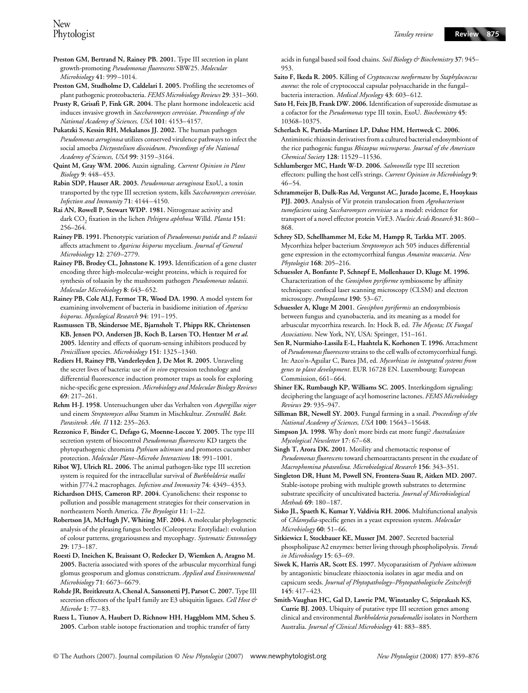Preston GM, Bertrand N, Rainey PB. 2001. Type III secretion in plant growth-promoting *Pseudomonas fluorescens* SBW25. *Molecular Microbiology* **41**: 999–1014.

**Preston GM, Studholme D, Caldelari I. 2005.** Profiling the secretomes of plant pathogenic proteobacteria. *FEMS Microbiology Reviews* **29**: 331–360.

**Prusty R, Grisafi P, Fink GR. 2004.** The plant hormone indoleacetic acid induces invasive growth in *Saccharomyces cerevisiae*. *Proceedings of the National Academy of Sciences, USA* **101**: 4153–4157.

Pukatzki S, Kessin RH, Mekalanos JJ. 2002. The human pathogen *Pseudomonas aeruginosa* utilizes conserved virulence pathways to infect the social amoeba *Dictyostelium discoideum*. *Proceedings of the National Academy of Sciences, USA* **99**: 3159–3164.

**Quint M, Gray WM. 2006.** Auxin signaling. *Current Opinion in Plant Biology* **9**: 448–453.

**Rabin SDP, Hauser AR. 2003.** *Pseudomonas aeruginosa* ExoU, a toxin transported by the type III secretion system, kills *Saccharomyces cerevisiae*. *Infection and Immunity* **71**: 4144–4150.

**Rai AN, Rowell P, Stewart WDP. 1981.** Nitrogenase activity and dark CO<sub>2</sub> fixation in the lichen *Peltigera aphthosa* Willd. *Planta* 151: 256–264.

**Rainey PB. 1991.** Phenotypic variation of *Pseudomonas putida* and *P. tolaasii*  affects attachment to *Agaricus bisporus* mycelium. *Journal of General Microbiology* **12**: 2769–2779.

**Rainey PB, Brodey CL, Johnstone K. 1993.** Identification of a gene cluster encoding three high-molecular-weight proteins, which is required for synthesis of tolaasin by the mushroom pathogen *Pseudomonas tolaasii*. *Molecular Microbiology* **8**: 643–652.

**Rainey PB, Cole ALJ, Fermor TR, Wood DA. 1990.** A model system for examining involvement of bacteria in basidiome initiation of *Agaricus bisporus*. *Mycological Research* **94**: 191–195.

**Rasmussen TB, Skindersoe ME, Bjarnsholt T, Phipps RK, Christensen KB, Jensen PO, Andersen JB, Koch B, Larsen TO, Hentzer M** *et al***. 2005.** Identity and effects of quorum-sensing inhibitors produced by *Penicillium* species. *Microbiology* **151**: 1325–1340.

**Rediers H, Rainey PB, Vanderleyden J, De Mot R. 2005.** Unraveling the secret lives of bacteria: use of *in vivo* expression technology and differential fluorescence induction promoter traps as tools for exploring niche-specific gene expression. *Microbiology and Molecular Biology Reviews* **69**: 217–261.

**Rehm H-J. 1958.** Untersuchungen uber das Verhalten von *Aspergillus niger*  und einem *Streptomyces albus* Stamm in Mischkultur. *Zentralbl. Bakt. Parasitenk. Abt. II* **112**: 235–263.

**Rezzonico F, Binder C, Defago G, Moenne-Loccoz Y. 2005.** The type III secretion system of biocontrol *Pseudomonas fluorescens* KD targets the phytopathogenic chromista *Pythium ultimum* and promotes cucumber protection. *Molecular Plant–Microbe Interactions* **18**: 991–1001.

**Ribot WJ, Ulrich RL. 2006.** The animal pathogen-like type III secretion system is required for the intracellular survival of *Burkholderia mallei*  within J774.2 macrophages. *Infection and Immunity* **74**: 4349–4353.

**Richardson DHS, Cameron RP. 2004.** Cyanolichens: their response to pollution and possible management strategies for their conservation in northeastern North America. *The Bryologist* **11**: 1–22.

**Robertson JA, McHugh JV, Whiting MF. 2004.** A molecular phylogenetic analysis of the pleasing fungus beetles (Coleoptera: Erotylidae): evolution of colour patterns, gregariousness and mycophagy. *Systematic Entomology* **29**: 173–187.

**Roesti D, Ineichen K, Braissant O, Redecker D, Wiemken A, Aragno M. 2005.** Bacteria associated with spores of the arbuscular mycorrhizal fungi glomus geosporum and glomus constrictum. *Applied and Environmental Microbiology* **71**: 6673–6679.

**Rohde JR, Breitkreutz A, Chenal A, Sansonetti PJ, Parsot C. 2007.** Type III secretion effectors of the IpaH family are E3 ubiquitin ligases. *Cell Host & Microbe* **1**: 77–83.

**Ruess L, Tiunov A, Haubert D, Richnow HH, Haggblom MM, Scheu S. 2005.** Carbon stable isotope fractionation and trophic transfer of fatty

acids in fungal based soil food chains. *Soil Biology & Biochemistry* **37**: 945– 953.

- **Saito F, Ikeda R. 2005.** Killing of *Cryptococcus neoformans* by *Staphylococcus aureus*: the role of cryptococcal capsular polysaccharide in the fungal– bacteria interaction. *Medical Mycology* **43**: 603–612.
- **Sato H, Feix JB, Frank DW. 2006.** Identification of superoxide dismutase as a cofactor for the *Pseudomonas* type III toxin, ExoU. *Biochemistry* **45**: 10368–10375.

**Scherlach K, Partida-Martinez LP, Dahse HM, Hertweck C. 2006.**  Antimitotic rhizoxin derivatives from a cultured bacterial endosymbiont of the rice pathogenic fungus *Rhizopus microsporus*. *Journal of the American Chemical Society* **128**: 11529–11536.

**Schlumberger MC, Hardt W-D. 2006.** *Salmonella* type III secretion effectors: pulling the host cell's strings. *Current Opinion in Microbiology* **9**: 46–54.

**Schrammeijer B, Dulk-Ras Ad, Vergunst AC, Jurado Jacome, E, Hooykaas PJJ. 2003.** Analysis of Vir protein translocation from *Agrobacterium tumefaciens* using *Saccharomyces cerevisiae* as a model: evidence for transport of a novel effector protein VirE3. *Nucleic Acids Research* **31**: 860– 868.

**Schrey SD, Schellhammer M, Ecke M, Hampp R, Tarkka MT. 2005.**  Mycorrhiza helper bacterium *Streptomyces* ach 505 induces differential gene expression in the ectomycorrhizal fungus *Amanita muscaria*. *New Phytologist* **168**: 205–216.

**Schuessler A, Bonfante P, Schnepf E, Mollenhauer D, Kluge M. 1996.**  Characterization of the *Geosiphon pyriforme* symbiosome by affinity techniques: confocal laser scanning microscopy (CLSM) and electron microscopy. *Protoplasma* **190**: 53–67.

**Schuessler A, Kluge M 2001.** *Geosiphon pyriformis* an endosymbiosis between fungus and cyanobacteria, and its meaning as a model for arbuscular mycorrhiza research. In: Hock B, ed. *The Mycota; IX Fungal Associations*. New York, NY, USA: Springer, 151–161.

**Sen R, Nurmiaho-Lassila E-L, Haahtela K, Korhonen T. 1996.** Attachment of *Pseudomonas fluorescens* strains to the cell walls of ectomycorrhizal fungi. In: Azco'n-Aguilar C, Barea JM, ed. *Mycorhizas in integrated systems from genes to plant development*. EUR 16728 EN. Luxembourg: European Commission, 661–664.

**Shiner EK, Rumbaugh KP, Williams SC. 2005.** Interkingdom signaling: deciphering the language of acyl homoserine lactones. *FEMS Microbiology Reviews* **29**: 935–947.

**Silliman BR, Newell SY. 2003.** Fungal farming in a snail. *Proceedings of the National Academy of Sciences, USA* **100**: 15643–15648.

**Simpson JA. 1998.** Why don't more birds eat more fungi? *Australasian Mycological Newsletter* **17**: 67–68.

**Singh T, Arora DK. 2001.** Motility and chemotactic response of *Pseudomonas fluorescens* toward chemoattractants present in the exudate of *Macrophomina phaseolina. Microbiological Research* **156**: 343–351.

**Singleton DR, Hunt M, Powell SN, Frontera-Suau R, Aitken MD. 2007.**  Stable-isotope probing with multiple growth substrates to determine substrate specificity of uncultivated bacteria. *Journal of Microbiological Methods* **69**: 180–187.

**Sisko JL, Spaeth K, Kumar Y, Valdivia RH. 2006.** Multifunctional analysis of *Chlamydia*-specific genes in a yeast expression system. *Molecular Microbiology* **60**: 51–66.

**Sitkiewicz I, Stockbauer KE, Musser JM. 2007.** Secreted bacterial phospholipase A2 enzymes: better living through phospholipolysis. *Trends in Microbiology* **15**: 63–69.

**Siwek K, Harris AR, Scott ES. 1997.** Mycoparasitism of *Pythium ultimum*  by antagonistic binucleate rhizoctonia isolates in agar media and on capsicum seeds. *Journal of Phytopathology–Phytopathologische Zeitschrift* **145**: 417–423.

**Smith-Vaughan HC, Gal D, Lawrie PM, Winstanley C, Sriprakash KS, Currie BJ. 2003.** Ubiquity of putative type III secretion genes among clinical and environmental *Burkholderia pseudomallei* isolates in Northern Australia. *Journal of Clinical Microbiology* **41**: 883–885.